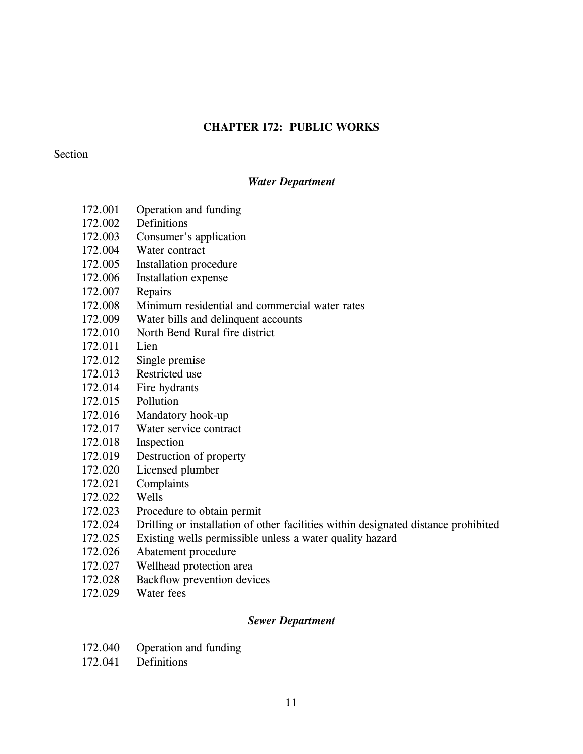# **CHAPTER 172: PUBLIC WORKS**

# **Section**

# *Water Department*

- 172.001 Operation and funding
- 172.002 Definitions
- 172.003 Consumer's application
- 172.004 Water contract
- 172.005 Installation procedure
- 172.006 Installation expense
- 172.007 Repairs
- 172.008 Minimum residential and commercial water rates
- 172.009 Water bills and delinquent accounts
- 172.010 North Bend Rural fire district
- 172.011 Lien
- 172.012 Single premise
- 172.013 Restricted use
- 172.014 Fire hydrants
- 172.015 Pollution
- 172.016 Mandatory hook-up
- 172.017 Water service contract
- 172.018 Inspection
- 172.019 Destruction of property
- 172.020 Licensed plumber
- 172.021 Complaints
- 172.022 Wells
- 172.023 Procedure to obtain permit
- 172.024 Drilling or installation of other facilities within designated distance prohibited
- 172.025 Existing wells permissible unless a water quality hazard
- 172.026 Abatement procedure
- 172.027 Wellhead protection area
- 172.028 Backflow prevention devices
- 172.029 Water fees

# *Sewer Department*

- 172.040 Operation and funding
- 172.041 Definitions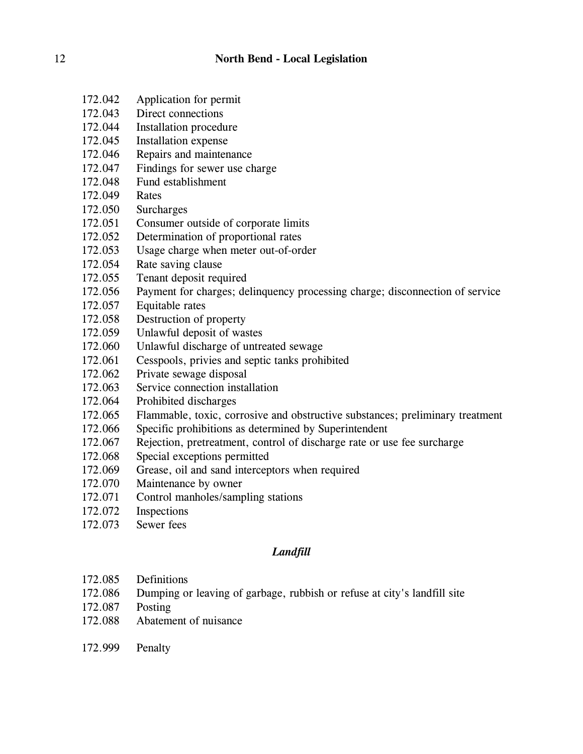- 172.042 Application for permit
- 172.043 Direct connections
- 172.044 Installation procedure
- 172.045 Installation expense
- 172.046 Repairs and maintenance
- 172.047 Findings for sewer use charge
- 172.048 Fund establishment
- 172.049 Rates
- 172.050 Surcharges
- 172.051 Consumer outside of corporate limits
- 172.052 Determination of proportional rates
- 172.053 Usage charge when meter out-of-order
- 172.054 Rate saving clause
- 172.055 Tenant deposit required
- 172.056 Payment for charges; delinquency processing charge; disconnection of service
- 172.057 Equitable rates
- 172.058 Destruction of property
- 172.059 Unlawful deposit of wastes
- 172.060 Unlawful discharge of untreated sewage
- 172.061 Cesspools, privies and septic tanks prohibited
- 172.062 Private sewage disposal
- 172.063 Service connection installation
- 172.064 Prohibited discharges
- 172.065 Flammable, toxic, corrosive and obstructive substances; preliminary treatment
- 172.066 Specific prohibitions as determined by Superintendent
- 172.067 Rejection, pretreatment, control of discharge rate or use fee surcharge
- 172.068 Special exceptions permitted
- 172.069 Grease, oil and sand interceptors when required
- 172.070 Maintenance by owner
- 172.071 Control manholes/sampling stations
- 172.072 Inspections
- 172.073 Sewer fees

# *Landfill*

- 172.085 Definitions
- 172.086 Dumping or leaving of garbage, rubbish or refuse at city's landfill site
- 172.087 Posting
- 172.088 Abatement of nuisance
- 172.999 Penalty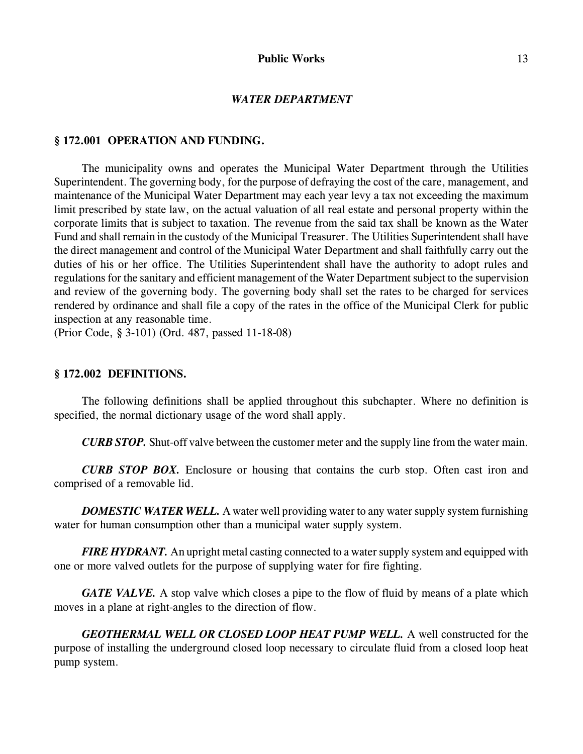#### *WATER DEPARTMENT*

### **§ 172.001 OPERATION AND FUNDING.**

The municipality owns and operates the Municipal Water Department through the Utilities Superintendent. The governing body, for the purpose of defraying the cost of the care, management, and maintenance of the Municipal Water Department may each year levy a tax not exceeding the maximum limit prescribed by state law, on the actual valuation of all real estate and personal property within the corporate limits that is subject to taxation. The revenue from the said tax shall be known as the Water Fund and shall remain in the custody of the Municipal Treasurer. The Utilities Superintendent shall have the direct management and control of the Municipal Water Department and shall faithfully carry out the duties of his or her office. The Utilities Superintendent shall have the authority to adopt rules and regulations for the sanitary and efficient management of the Water Department subject to the supervision and review of the governing body. The governing body shall set the rates to be charged for services rendered by ordinance and shall file a copy of the rates in the office of the Municipal Clerk for public inspection at any reasonable time.

(Prior Code, § 3-101) (Ord. 487, passed 11-18-08)

# **§ 172.002 DEFINITIONS.**

The following definitions shall be applied throughout this subchapter. Where no definition is specified, the normal dictionary usage of the word shall apply.

*CURB STOP.* Shut-off valve between the customer meter and the supply line from the water main.

*CURB STOP BOX.* Enclosure or housing that contains the curb stop. Often cast iron and comprised of a removable lid.

**DOMESTIC WATER WELL.** A water well providing water to any water supply system furnishing water for human consumption other than a municipal water supply system.

*FIRE HYDRANT.* An upright metal casting connected to a water supply system and equipped with one or more valved outlets for the purpose of supplying water for fire fighting.

*GATE VALVE.* A stop valve which closes a pipe to the flow of fluid by means of a plate which moves in a plane at right-angles to the direction of flow.

*GEOTHERMAL WELL OR CLOSED LOOP HEAT PUMP WELL.* A well constructed for the purpose of installing the underground closed loop necessary to circulate fluid from a closed loop heat pump system.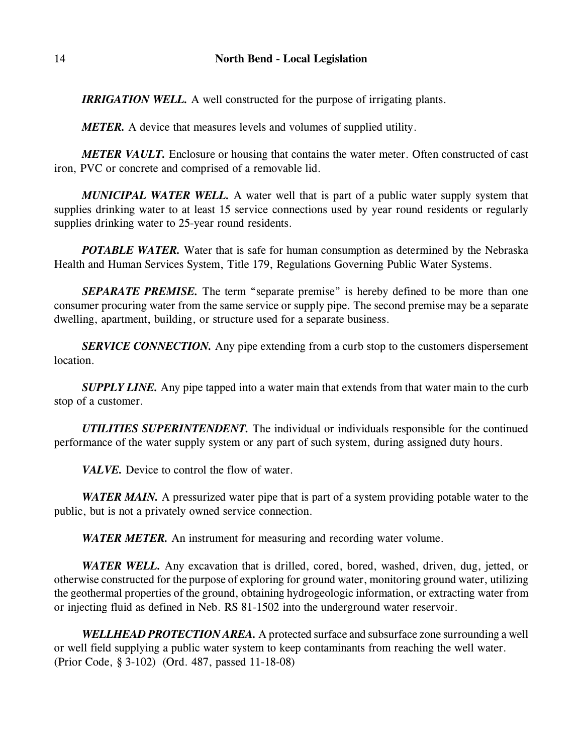*IRRIGATION WELL.* A well constructed for the purpose of irrigating plants.

*METER.* A device that measures levels and volumes of supplied utility.

*METER VAULT.* Enclosure or housing that contains the water meter. Often constructed of cast iron, PVC or concrete and comprised of a removable lid.

*MUNICIPAL WATER WELL.* A water well that is part of a public water supply system that supplies drinking water to at least 15 service connections used by year round residents or regularly supplies drinking water to 25-year round residents.

*POTABLE WATER*. Water that is safe for human consumption as determined by the Nebraska Health and Human Services System, Title 179, Regulations Governing Public Water Systems.

*SEPARATE PREMISE.* The term "separate premise" is hereby defined to be more than one consumer procuring water from the same service or supply pipe. The second premise may be a separate dwelling, apartment, building, or structure used for a separate business.

*SERVICE CONNECTION*. Any pipe extending from a curb stop to the customers dispersement location.

*SUPPLY LINE*. Any pipe tapped into a water main that extends from that water main to the curb stop of a customer.

*UTILITIES SUPERINTENDENT.* The individual or individuals responsible for the continued performance of the water supply system or any part of such system, during assigned duty hours.

*VALVE.* Device to control the flow of water.

*WATER MAIN*. A pressurized water pipe that is part of a system providing potable water to the public, but is not a privately owned service connection.

*WATER METER.* An instrument for measuring and recording water volume.

*WATER WELL.* Any excavation that is drilled, cored, bored, washed, driven, dug, jetted, or otherwise constructed for the purpose of exploring for ground water, monitoring ground water, utilizing the geothermal properties of the ground, obtaining hydrogeologic information, or extracting water from or injecting fluid as defined in Neb. RS 81-1502 into the underground water reservoir.

*WELLHEAD PROTECTION AREA.* A protected surface and subsurface zone surrounding a well or well field supplying a public water system to keep contaminants from reaching the well water. (Prior Code, § 3-102) (Ord. 487, passed 11-18-08)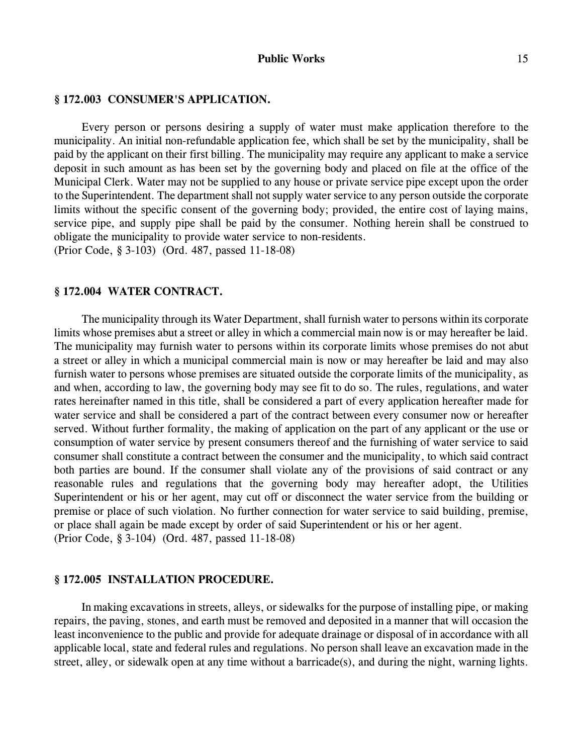### **§ 172.003 CONSUMER'S APPLICATION.**

Every person or persons desiring a supply of water must make application therefore to the municipality. An initial non-refundable application fee, which shall be set by the municipality, shall be paid by the applicant on their first billing. The municipality may require any applicant to make a service deposit in such amount as has been set by the governing body and placed on file at the office of the Municipal Clerk. Water may not be supplied to any house or private service pipe except upon the order to the Superintendent. The department shall not supply water service to any person outside the corporate limits without the specific consent of the governing body; provided, the entire cost of laying mains, service pipe, and supply pipe shall be paid by the consumer. Nothing herein shall be construed to obligate the municipality to provide water service to non-residents. (Prior Code, § 3-103) (Ord. 487, passed 11-18-08)

#### **§ 172.004 WATER CONTRACT.**

The municipality through its Water Department, shall furnish water to persons within its corporate limits whose premises abut a street or alley in which a commercial main now is or may hereafter be laid. The municipality may furnish water to persons within its corporate limits whose premises do not abut a street or alley in which a municipal commercial main is now or may hereafter be laid and may also furnish water to persons whose premises are situated outside the corporate limits of the municipality, as and when, according to law, the governing body may see fit to do so. The rules, regulations, and water rates hereinafter named in this title, shall be considered a part of every application hereafter made for water service and shall be considered a part of the contract between every consumer now or hereafter served. Without further formality, the making of application on the part of any applicant or the use or consumption of water service by present consumers thereof and the furnishing of water service to said consumer shall constitute a contract between the consumer and the municipality, to which said contract both parties are bound. If the consumer shall violate any of the provisions of said contract or any reasonable rules and regulations that the governing body may hereafter adopt, the Utilities Superintendent or his or her agent, may cut off or disconnect the water service from the building or premise or place of such violation. No further connection for water service to said building, premise, or place shall again be made except by order of said Superintendent or his or her agent. (Prior Code, § 3-104) (Ord. 487, passed 11-18-08)

#### **§ 172.005 INSTALLATION PROCEDURE.**

In making excavations in streets, alleys, or sidewalks for the purpose of installing pipe, or making repairs, the paving, stones, and earth must be removed and deposited in a manner that will occasion the least inconvenience to the public and provide for adequate drainage or disposal of in accordance with all applicable local, state and federal rules and regulations. No person shall leave an excavation made in the street, alley, or sidewalk open at any time without a barricade(s), and during the night, warning lights.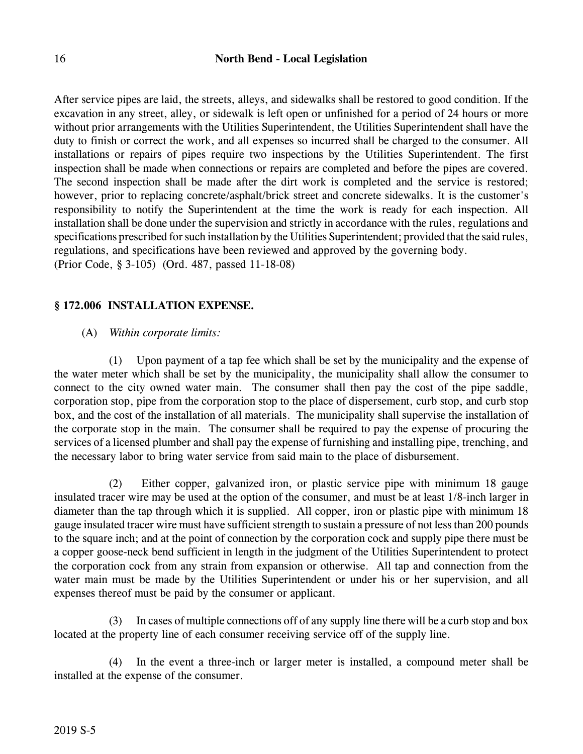# 16 **North Bend - Local Legislation**

After service pipes are laid, the streets, alleys, and sidewalks shall be restored to good condition. If the excavation in any street, alley, or sidewalk is left open or unfinished for a period of 24 hours or more without prior arrangements with the Utilities Superintendent, the Utilities Superintendent shall have the duty to finish or correct the work, and all expenses so incurred shall be charged to the consumer. All installations or repairs of pipes require two inspections by the Utilities Superintendent. The first inspection shall be made when connections or repairs are completed and before the pipes are covered. The second inspection shall be made after the dirt work is completed and the service is restored; however, prior to replacing concrete/asphalt/brick street and concrete sidewalks. It is the customer's responsibility to notify the Superintendent at the time the work is ready for each inspection. All installation shall be done under the supervision and strictly in accordance with the rules, regulations and specifications prescribed for such installation by the Utilities Superintendent; provided that the said rules, regulations, and specifications have been reviewed and approved by the governing body. (Prior Code, § 3-105) (Ord. 487, passed 11-18-08)

## **§ 172.006 INSTALLATION EXPENSE.**

## (A) *Within corporate limits:*

(1) Upon payment of a tap fee which shall be set by the municipality and the expense of the water meter which shall be set by the municipality, the municipality shall allow the consumer to connect to the city owned water main. The consumer shall then pay the cost of the pipe saddle, corporation stop, pipe from the corporation stop to the place of dispersement, curb stop, and curb stop box, and the cost of the installation of all materials. The municipality shall supervise the installation of the corporate stop in the main. The consumer shall be required to pay the expense of procuring the services of a licensed plumber and shall pay the expense of furnishing and installing pipe, trenching, and the necessary labor to bring water service from said main to the place of disbursement.

(2) Either copper, galvanized iron, or plastic service pipe with minimum 18 gauge insulated tracer wire may be used at the option of the consumer, and must be at least 1/8-inch larger in diameter than the tap through which it is supplied. All copper, iron or plastic pipe with minimum 18 gauge insulated tracer wire must have sufficient strength to sustain a pressure of not less than 200 pounds to the square inch; and at the point of connection by the corporation cock and supply pipe there must be a copper goose-neck bend sufficient in length in the judgment of the Utilities Superintendent to protect the corporation cock from any strain from expansion or otherwise. All tap and connection from the water main must be made by the Utilities Superintendent or under his or her supervision, and all expenses thereof must be paid by the consumer or applicant.

(3) In cases of multiple connections off of any supply line there will be a curb stop and box located at the property line of each consumer receiving service off of the supply line.

(4) In the event a three-inch or larger meter is installed, a compound meter shall be installed at the expense of the consumer.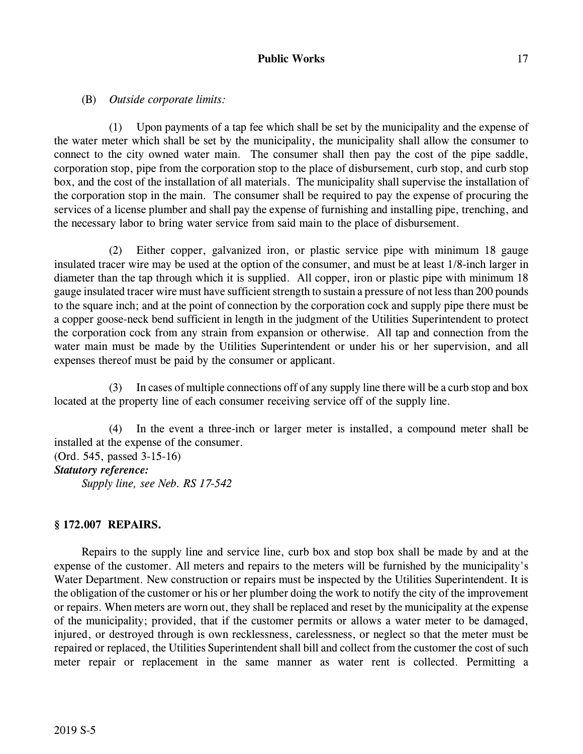# (B) *Outside corporate limits:*

(1) Upon payments of a tap fee which shall be set by the municipality and the expense of the water meter which shall be set by the municipality, the municipality shall allow the consumer to connect to the city owned water main. The consumer shall then pay the cost of the pipe saddle, corporation stop, pipe from the corporation stop to the place of disbursement, curb stop, and curb stop box, and the cost of the installation of all materials. The municipality shall supervise the installation of the corporation stop in the main. The consumer shall be required to pay the expense of procuring the services of a license plumber and shall pay the expense of furnishing and installing pipe, trenching, and the necessary labor to bring water service from said main to the place of disbursement.

(2) Either copper, galvanized iron, or plastic service pipe with minimum 18 gauge insulated tracer wire may be used at the option of the consumer, and must be at least 1/8-inch larger in diameter than the tap through which it is supplied. All copper, iron or plastic pipe with minimum 18 gauge insulated tracer wire must have sufficient strength to sustain a pressure of not less than 200 pounds to the square inch; and at the point of connection by the corporation cock and supply pipe there must be a copper goose-neck bend sufficient in length in the judgment of the Utilities Superintendent to protect the corporation cock from any strain from expansion or otherwise. All tap and connection from the water main must be made by the Utilities Superintendent or under his or her supervision, and all expenses thereof must be paid by the consumer or applicant.

(3) In cases of multiple connections off of any supply line there will be a curb stop and box located at the property line of each consumer receiving service off of the supply line.

(4) In the event a three-inch or larger meter is installed, a compound meter shall be installed at the expense of the consumer.

(Ord. 545, passed 3-15-16)

# *Statutory reference:*

*Supply line, see Neb. RS 17-542*

# **§ 172.007 REPAIRS.**

Repairs to the supply line and service line, curb box and stop box shall be made by and at the expense of the customer. All meters and repairs to the meters will be furnished by the municipality's Water Department. New construction or repairs must be inspected by the Utilities Superintendent. It is the obligation of the customer or his or her plumber doing the work to notify the city of the improvement or repairs. When meters are worn out, they shall be replaced and reset by the municipality at the expense of the municipality; provided, that if the customer permits or allows a water meter to be damaged, injured, or destroyed through is own recklessness, carelessness, or neglect so that the meter must be repaired or replaced, the Utilities Superintendent shall bill and collect from the customer the cost of such meter repair or replacement in the same manner as water rent is collected. Permitting a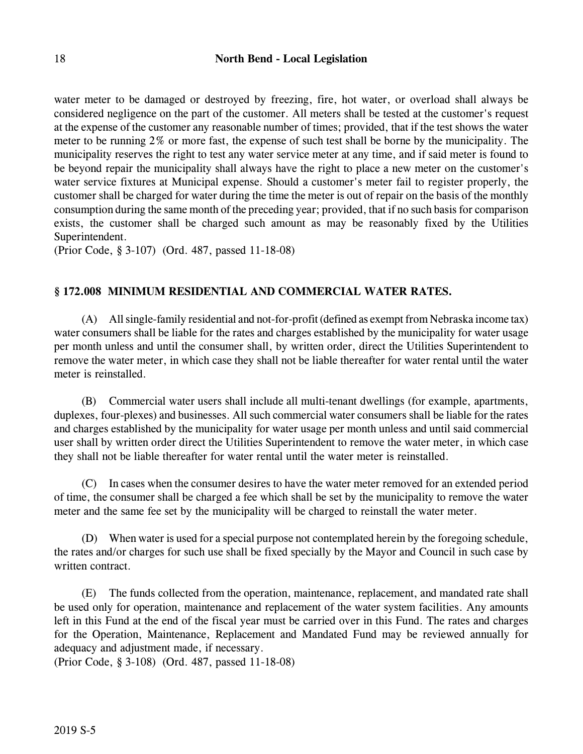water meter to be damaged or destroyed by freezing, fire, hot water, or overload shall always be considered negligence on the part of the customer. All meters shall be tested at the customer's request at the expense of the customer any reasonable number of times; provided, that if the test shows the water meter to be running 2% or more fast, the expense of such test shall be borne by the municipality. The municipality reserves the right to test any water service meter at any time, and if said meter is found to be beyond repair the municipality shall always have the right to place a new meter on the customer's water service fixtures at Municipal expense. Should a customer's meter fail to register properly, the customer shall be charged for water during the time the meter is out of repair on the basis of the monthly consumption during the same month of the preceding year; provided, that if no such basis for comparison exists, the customer shall be charged such amount as may be reasonably fixed by the Utilities Superintendent.

(Prior Code, § 3-107) (Ord. 487, passed 11-18-08)

# **§ 172.008 MINIMUM RESIDENTIAL AND COMMERCIAL WATER RATES.**

(A) All single-family residential and not-for-profit (defined as exempt from Nebraska income tax) water consumers shall be liable for the rates and charges established by the municipality for water usage per month unless and until the consumer shall, by written order, direct the Utilities Superintendent to remove the water meter, in which case they shall not be liable thereafter for water rental until the water meter is reinstalled.

(B) Commercial water users shall include all multi-tenant dwellings (for example, apartments, duplexes, four-plexes) and businesses. All such commercial water consumers shall be liable for the rates and charges established by the municipality for water usage per month unless and until said commercial user shall by written order direct the Utilities Superintendent to remove the water meter, in which case they shall not be liable thereafter for water rental until the water meter is reinstalled.

(C) In cases when the consumer desires to have the water meter removed for an extended period of time, the consumer shall be charged a fee which shall be set by the municipality to remove the water meter and the same fee set by the municipality will be charged to reinstall the water meter.

(D) When water is used for a special purpose not contemplated herein by the foregoing schedule, the rates and/or charges for such use shall be fixed specially by the Mayor and Council in such case by written contract.

(E) The funds collected from the operation, maintenance, replacement, and mandated rate shall be used only for operation, maintenance and replacement of the water system facilities. Any amounts left in this Fund at the end of the fiscal year must be carried over in this Fund. The rates and charges for the Operation, Maintenance, Replacement and Mandated Fund may be reviewed annually for adequacy and adjustment made, if necessary.

(Prior Code, § 3-108) (Ord. 487, passed 11-18-08)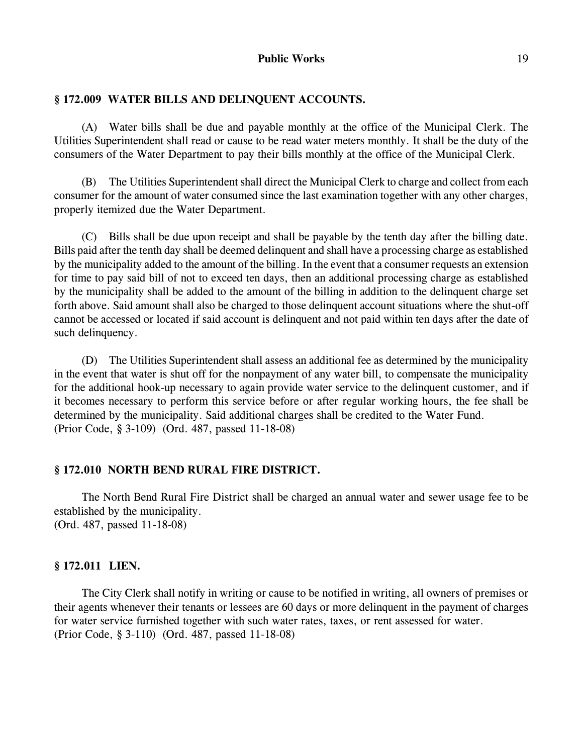## **§ 172.009 WATER BILLS AND DELINQUENT ACCOUNTS.**

(A) Water bills shall be due and payable monthly at the office of the Municipal Clerk. The Utilities Superintendent shall read or cause to be read water meters monthly. It shall be the duty of the consumers of the Water Department to pay their bills monthly at the office of the Municipal Clerk.

(B) The Utilities Superintendent shall direct the Municipal Clerk to charge and collect from each consumer for the amount of water consumed since the last examination together with any other charges, properly itemized due the Water Department.

(C) Bills shall be due upon receipt and shall be payable by the tenth day after the billing date. Bills paid after the tenth day shall be deemed delinquent and shall have a processing charge as established by the municipality added to the amount of the billing. In the event that a consumer requests an extension for time to pay said bill of not to exceed ten days, then an additional processing charge as established by the municipality shall be added to the amount of the billing in addition to the delinquent charge set forth above. Said amount shall also be charged to those delinquent account situations where the shut-off cannot be accessed or located if said account is delinquent and not paid within ten days after the date of such delinquency.

(D) The Utilities Superintendent shall assess an additional fee as determined by the municipality in the event that water is shut off for the nonpayment of any water bill, to compensate the municipality for the additional hook-up necessary to again provide water service to the delinquent customer, and if it becomes necessary to perform this service before or after regular working hours, the fee shall be determined by the municipality. Said additional charges shall be credited to the Water Fund. (Prior Code, § 3-109) (Ord. 487, passed 11-18-08)

#### **§ 172.010 NORTH BEND RURAL FIRE DISTRICT.**

The North Bend Rural Fire District shall be charged an annual water and sewer usage fee to be established by the municipality. (Ord. 487, passed 11-18-08)

## **§ 172.011 LIEN.**

The City Clerk shall notify in writing or cause to be notified in writing, all owners of premises or their agents whenever their tenants or lessees are 60 days or more delinquent in the payment of charges for water service furnished together with such water rates, taxes, or rent assessed for water. (Prior Code, § 3-110) (Ord. 487, passed 11-18-08)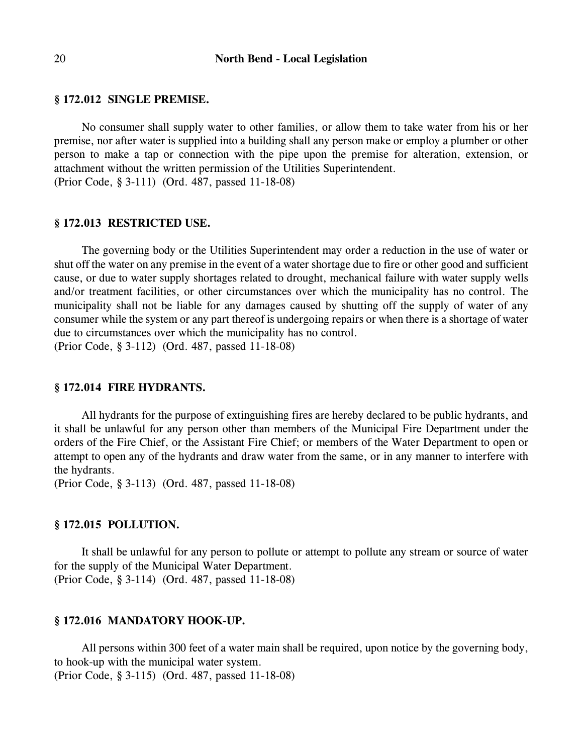### **§ 172.012 SINGLE PREMISE.**

No consumer shall supply water to other families, or allow them to take water from his or her premise, nor after water is supplied into a building shall any person make or employ a plumber or other person to make a tap or connection with the pipe upon the premise for alteration, extension, or attachment without the written permission of the Utilities Superintendent. (Prior Code, § 3-111) (Ord. 487, passed 11-18-08)

#### **§ 172.013 RESTRICTED USE.**

The governing body or the Utilities Superintendent may order a reduction in the use of water or shut off the water on any premise in the event of a water shortage due to fire or other good and sufficient cause, or due to water supply shortages related to drought, mechanical failure with water supply wells and/or treatment facilities, or other circumstances over which the municipality has no control. The municipality shall not be liable for any damages caused by shutting off the supply of water of any consumer while the system or any part thereof is undergoing repairs or when there is a shortage of water due to circumstances over which the municipality has no control. (Prior Code, § 3-112) (Ord. 487, passed 11-18-08)

## **§ 172.014 FIRE HYDRANTS.**

All hydrants for the purpose of extinguishing fires are hereby declared to be public hydrants, and it shall be unlawful for any person other than members of the Municipal Fire Department under the orders of the Fire Chief, or the Assistant Fire Chief; or members of the Water Department to open or attempt to open any of the hydrants and draw water from the same, or in any manner to interfere with the hydrants.

(Prior Code, § 3-113) (Ord. 487, passed 11-18-08)

#### **§ 172.015 POLLUTION.**

It shall be unlawful for any person to pollute or attempt to pollute any stream or source of water for the supply of the Municipal Water Department. (Prior Code, § 3-114) (Ord. 487, passed 11-18-08)

#### **§ 172.016 MANDATORY HOOK-UP.**

All persons within 300 feet of a water main shall be required, upon notice by the governing body, to hook-up with the municipal water system. (Prior Code, § 3-115) (Ord. 487, passed 11-18-08)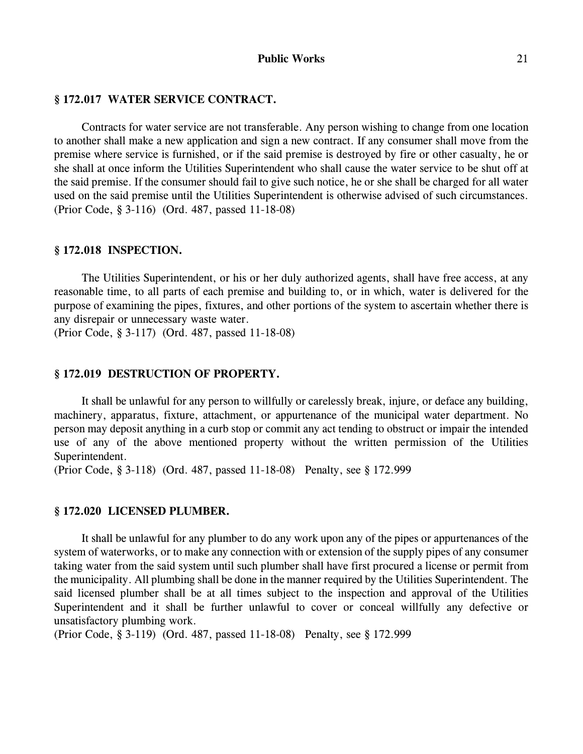## **§ 172.017 WATER SERVICE CONTRACT.**

Contracts for water service are not transferable. Any person wishing to change from one location to another shall make a new application and sign a new contract. If any consumer shall move from the premise where service is furnished, or if the said premise is destroyed by fire or other casualty, he or she shall at once inform the Utilities Superintendent who shall cause the water service to be shut off at the said premise. If the consumer should fail to give such notice, he or she shall be charged for all water used on the said premise until the Utilities Superintendent is otherwise advised of such circumstances. (Prior Code, § 3-116) (Ord. 487, passed 11-18-08)

#### **§ 172.018 INSPECTION.**

The Utilities Superintendent, or his or her duly authorized agents, shall have free access, at any reasonable time, to all parts of each premise and building to, or in which, water is delivered for the purpose of examining the pipes, fixtures, and other portions of the system to ascertain whether there is any disrepair or unnecessary waste water.

(Prior Code, § 3-117) (Ord. 487, passed 11-18-08)

## **§ 172.019 DESTRUCTION OF PROPERTY.**

It shall be unlawful for any person to willfully or carelessly break, injure, or deface any building, machinery, apparatus, fixture, attachment, or appurtenance of the municipal water department. No person may deposit anything in a curb stop or commit any act tending to obstruct or impair the intended use of any of the above mentioned property without the written permission of the Utilities Superintendent.

(Prior Code, § 3-118) (Ord. 487, passed 11-18-08) Penalty, see § 172.999

#### **§ 172.020 LICENSED PLUMBER.**

It shall be unlawful for any plumber to do any work upon any of the pipes or appurtenances of the system of waterworks, or to make any connection with or extension of the supply pipes of any consumer taking water from the said system until such plumber shall have first procured a license or permit from the municipality. All plumbing shall be done in the manner required by the Utilities Superintendent. The said licensed plumber shall be at all times subject to the inspection and approval of the Utilities Superintendent and it shall be further unlawful to cover or conceal willfully any defective or unsatisfactory plumbing work.

(Prior Code, § 3-119) (Ord. 487, passed 11-18-08) Penalty, see § 172.999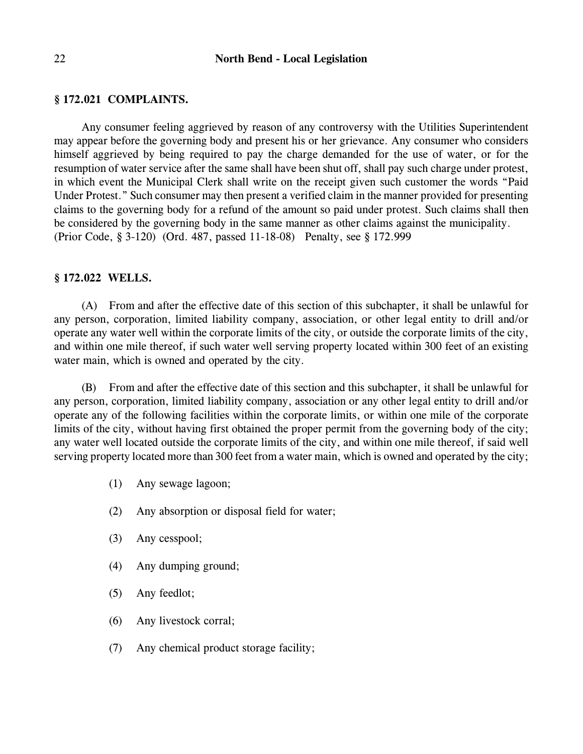#### 22 **North Bend - Local Legislation**

#### **§ 172.021 COMPLAINTS.**

Any consumer feeling aggrieved by reason of any controversy with the Utilities Superintendent may appear before the governing body and present his or her grievance. Any consumer who considers himself aggrieved by being required to pay the charge demanded for the use of water, or for the resumption of water service after the same shall have been shut off, shall pay such charge under protest, in which event the Municipal Clerk shall write on the receipt given such customer the words "Paid Under Protest." Such consumer may then present a verified claim in the manner provided for presenting claims to the governing body for a refund of the amount so paid under protest. Such claims shall then be considered by the governing body in the same manner as other claims against the municipality. (Prior Code, § 3-120) (Ord. 487, passed 11-18-08) Penalty, see § 172.999

#### **§ 172.022 WELLS.**

(A) From and after the effective date of this section of this subchapter, it shall be unlawful for any person, corporation, limited liability company, association, or other legal entity to drill and/or operate any water well within the corporate limits of the city, or outside the corporate limits of the city, and within one mile thereof, if such water well serving property located within 300 feet of an existing water main, which is owned and operated by the city.

(B) From and after the effective date of this section and this subchapter, it shall be unlawful for any person, corporation, limited liability company, association or any other legal entity to drill and/or operate any of the following facilities within the corporate limits, or within one mile of the corporate limits of the city, without having first obtained the proper permit from the governing body of the city; any water well located outside the corporate limits of the city, and within one mile thereof, if said well serving property located more than 300 feet from a water main, which is owned and operated by the city;

- (1) Any sewage lagoon;
- (2) Any absorption or disposal field for water;
- (3) Any cesspool;
- (4) Any dumping ground;
- (5) Any feedlot;
- (6) Any livestock corral;
- (7) Any chemical product storage facility;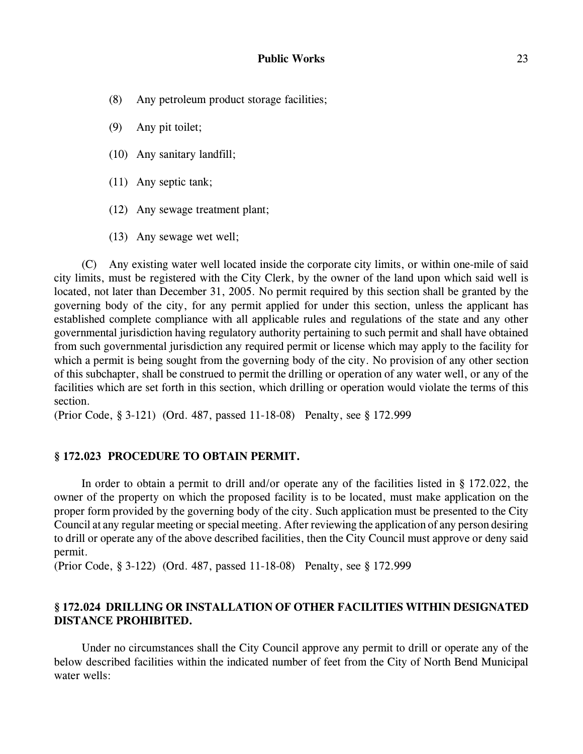- (8) Any petroleum product storage facilities;
- (9) Any pit toilet;
- (10) Any sanitary landfill;
- (11) Any septic tank;
- (12) Any sewage treatment plant;
- (13) Any sewage wet well;

(C) Any existing water well located inside the corporate city limits, or within one-mile of said city limits, must be registered with the City Clerk, by the owner of the land upon which said well is located, not later than December 31, 2005. No permit required by this section shall be granted by the governing body of the city, for any permit applied for under this section, unless the applicant has established complete compliance with all applicable rules and regulations of the state and any other governmental jurisdiction having regulatory authority pertaining to such permit and shall have obtained from such governmental jurisdiction any required permit or license which may apply to the facility for which a permit is being sought from the governing body of the city. No provision of any other section of this subchapter, shall be construed to permit the drilling or operation of any water well, or any of the facilities which are set forth in this section, which drilling or operation would violate the terms of this section.

(Prior Code, § 3-121) (Ord. 487, passed 11-18-08) Penalty, see § 172.999

## **§ 172.023 PROCEDURE TO OBTAIN PERMIT.**

In order to obtain a permit to drill and/or operate any of the facilities listed in § 172.022, the owner of the property on which the proposed facility is to be located, must make application on the proper form provided by the governing body of the city. Such application must be presented to the City Council at any regular meeting or special meeting. After reviewing the application of any person desiring to drill or operate any of the above described facilities, then the City Council must approve or deny said permit.

(Prior Code, § 3-122) (Ord. 487, passed 11-18-08) Penalty, see § 172.999

# **§ 172.024 DRILLING OR INSTALLATION OF OTHER FACILITIES WITHIN DESIGNATED DISTANCE PROHIBITED.**

Under no circumstances shall the City Council approve any permit to drill or operate any of the below described facilities within the indicated number of feet from the City of North Bend Municipal water wells: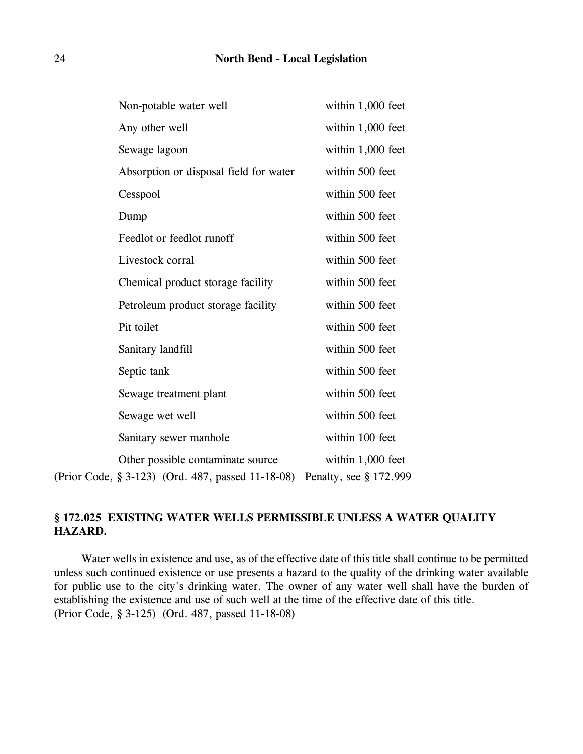| Non-potable water well                                                                 | within 1,000 feet                           |
|----------------------------------------------------------------------------------------|---------------------------------------------|
| Any other well                                                                         | within 1,000 feet                           |
| Sewage lagoon                                                                          | within 1,000 feet                           |
| Absorption or disposal field for water                                                 | within 500 feet                             |
| Cesspool                                                                               | within 500 feet                             |
| Dump                                                                                   | within 500 feet                             |
| Feedlot or feedlot runoff                                                              | within 500 feet                             |
| Livestock corral                                                                       | within 500 feet                             |
| Chemical product storage facility                                                      | within 500 feet                             |
| Petroleum product storage facility                                                     | within 500 feet                             |
| Pit toilet                                                                             | within 500 feet                             |
| Sanitary landfill                                                                      | within 500 feet                             |
| Septic tank                                                                            | within 500 feet                             |
| Sewage treatment plant                                                                 | within 500 feet                             |
| Sewage wet well                                                                        | within 500 feet                             |
| Sanitary sewer manhole                                                                 | within 100 feet                             |
| Other possible contaminate source<br>(Prior Code, § 3-123) (Ord. 487, passed 11-18-08) | within 1,000 feet<br>Penalty, see § 172.999 |

# **§ 172.025 EXISTING WATER WELLS PERMISSIBLE UNLESS A WATER QUALITY HAZARD.**

Water wells in existence and use, as of the effective date of this title shall continue to be permitted unless such continued existence or use presents a hazard to the quality of the drinking water available for public use to the city's drinking water. The owner of any water well shall have the burden of establishing the existence and use of such well at the time of the effective date of this title. (Prior Code, § 3-125) (Ord. 487, passed 11-18-08)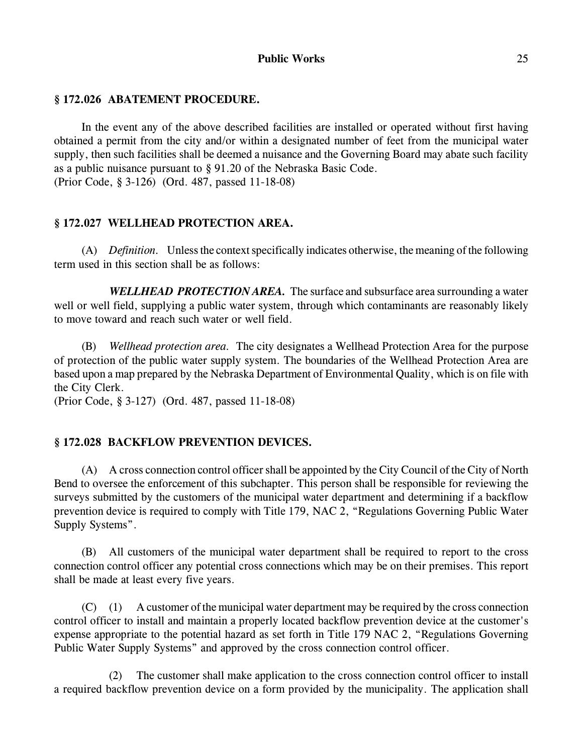# **§ 172.026 ABATEMENT PROCEDURE.**

In the event any of the above described facilities are installed or operated without first having obtained a permit from the city and/or within a designated number of feet from the municipal water supply, then such facilities shall be deemed a nuisance and the Governing Board may abate such facility as a public nuisance pursuant to § 91.20 of the Nebraska Basic Code. (Prior Code, § 3-126) (Ord. 487, passed 11-18-08)

## **§ 172.027 WELLHEAD PROTECTION AREA.**

(A) *Definition.* Unless the context specifically indicates otherwise, the meaning of the following term used in this section shall be as follows:

*WELLHEAD PROTECTION AREA.* The surface and subsurface area surrounding a water well or well field, supplying a public water system, through which contaminants are reasonably likely to move toward and reach such water or well field.

(B) *Wellhead protection area.* The city designates a Wellhead Protection Area for the purpose of protection of the public water supply system. The boundaries of the Wellhead Protection Area are based upon a map prepared by the Nebraska Department of Environmental Quality, which is on file with the City Clerk.

(Prior Code, § 3-127) (Ord. 487, passed 11-18-08)

## **§ 172.028 BACKFLOW PREVENTION DEVICES.**

(A) A cross connection control officer shall be appointed by the City Council of the City of North Bend to oversee the enforcement of this subchapter. This person shall be responsible for reviewing the surveys submitted by the customers of the municipal water department and determining if a backflow prevention device is required to comply with Title 179, NAC 2, "Regulations Governing Public Water Supply Systems".

(B) All customers of the municipal water department shall be required to report to the cross connection control officer any potential cross connections which may be on their premises. This report shall be made at least every five years.

(C) (1) A customer of the municipal water department may be required by the cross connection control officer to install and maintain a properly located backflow prevention device at the customer's expense appropriate to the potential hazard as set forth in Title 179 NAC 2, "Regulations Governing Public Water Supply Systems" and approved by the cross connection control officer.

(2) The customer shall make application to the cross connection control officer to install a required backflow prevention device on a form provided by the municipality. The application shall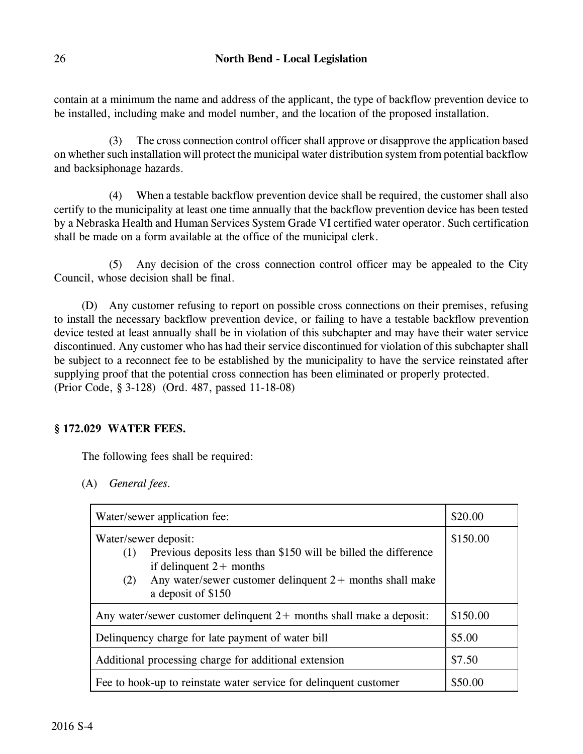contain at a minimum the name and address of the applicant, the type of backflow prevention device to be installed, including make and model number, and the location of the proposed installation.

(3) The cross connection control officer shall approve or disapprove the application based on whether such installation will protect the municipal water distribution system from potential backflow and backsiphonage hazards.

(4) When a testable backflow prevention device shall be required, the customer shall also certify to the municipality at least one time annually that the backflow prevention device has been tested by a Nebraska Health and Human Services System Grade VI certified water operator. Such certification shall be made on a form available at the office of the municipal clerk.

(5) Any decision of the cross connection control officer may be appealed to the City Council, whose decision shall be final.

(D) Any customer refusing to report on possible cross connections on their premises, refusing to install the necessary backflow prevention device, or failing to have a testable backflow prevention device tested at least annually shall be in violation of this subchapter and may have their water service discontinued. Any customer who has had their service discontinued for violation of this subchapter shall be subject to a reconnect fee to be established by the municipality to have the service reinstated after supplying proof that the potential cross connection has been eliminated or properly protected. (Prior Code, § 3-128) (Ord. 487, passed 11-18-08)

# **§ 172.029 WATER FEES.**

The following fees shall be required:

(A) *General fees.*

| Water/sewer application fee:                                                                                                                                                                                           | \$20.00  |
|------------------------------------------------------------------------------------------------------------------------------------------------------------------------------------------------------------------------|----------|
| Water/sewer deposit:<br>Previous deposits less than \$150 will be billed the difference<br>(1)<br>if delinquent $2+$ months<br>Any water/sewer customer delinquent $2+$ months shall make<br>(2)<br>a deposit of \$150 | \$150.00 |
| Any water/sewer customer delinquent $2+$ months shall make a deposit:                                                                                                                                                  | \$150.00 |
| Delinquency charge for late payment of water bill                                                                                                                                                                      | \$5.00   |
| Additional processing charge for additional extension                                                                                                                                                                  | \$7.50   |
| Fee to hook-up to reinstate water service for delinquent customer                                                                                                                                                      | \$50.00  |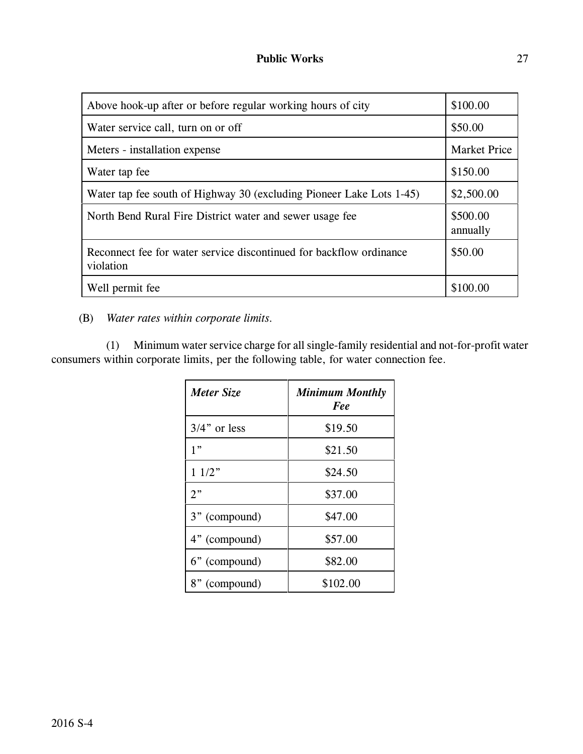| Above hook-up after or before regular working hours of city                      | \$100.00             |
|----------------------------------------------------------------------------------|----------------------|
| Water service call, turn on or off                                               | \$50.00              |
| Meters - installation expense                                                    | <b>Market Price</b>  |
| Water tap fee                                                                    | \$150.00             |
| Water tap fee south of Highway 30 (excluding Pioneer Lake Lots 1-45)             | \$2,500.00           |
| North Bend Rural Fire District water and sewer usage fee                         | \$500.00<br>annually |
| Reconnect fee for water service discontinued for backflow ordinance<br>violation | \$50.00              |
| Well permit fee                                                                  | \$100.00             |

(B) *Water rates within corporate limits.*

(1) Minimum water service charge for all single-family residential and not-for-profit water consumers within corporate limits, per the following table, for water connection fee.

| Meter Size      | <b>Minimum Monthly</b><br>Fee |
|-----------------|-------------------------------|
| $3/4$ " or less | \$19.50                       |
| 1"              | \$21.50                       |
| 11/2"           | \$24.50                       |
| $2$ "           | \$37.00                       |
| 3" (compound)   | \$47.00                       |
| 4" (compound)   | \$57.00                       |
| 6" (compound)   | \$82.00                       |
| 8" (compound)   | \$102.00                      |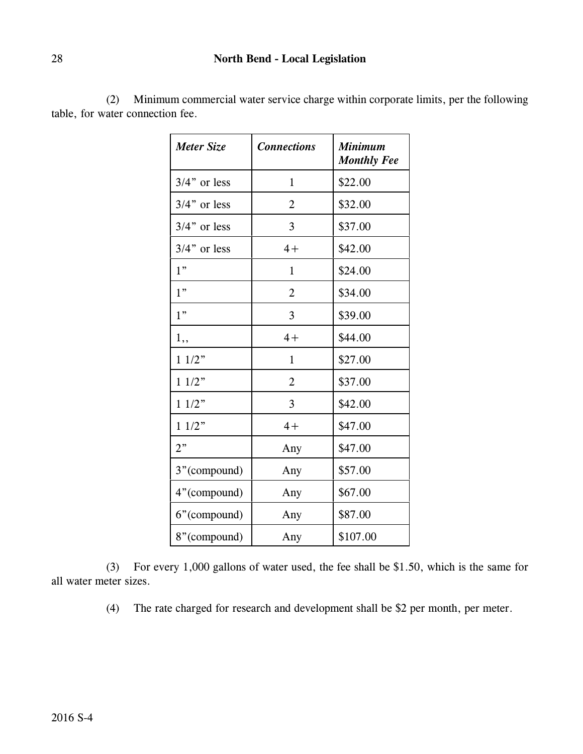# 28 **North Bend - Local Legislation**

| Meter Size      | <b>Connections</b> | <b>Minimum</b><br><b>Monthly Fee</b> |
|-----------------|--------------------|--------------------------------------|
| $3/4$ " or less | $\mathbf{1}$       | \$22.00                              |
| $3/4$ " or less | $\overline{2}$     | \$32.00                              |
| $3/4$ " or less | 3                  | \$37.00                              |
| $3/4$ " or less | $4+$               | \$42.00                              |
| 1"              | $\mathbf{1}$       | \$24.00                              |
| 1"              | $\overline{2}$     | \$34.00                              |
| 1"              | 3                  | \$39.00                              |
| 1,,             | $4+$               | \$44.00                              |
| 11/2"           | $\mathbf{1}$       | \$27.00                              |
| 11/2"           | $\overline{2}$     | \$37.00                              |
| 11/2"           | 3                  | \$42.00                              |
| 11/2"           | $4+$               | \$47.00                              |
| 2"              | Any                | \$47.00                              |
| 3"(compound)    | Any                | \$57.00                              |
| 4"(compound)    | Any                | \$67.00                              |
| 6"(compound)    | Any                | \$87.00                              |
| 8"(compound)    | Any                | \$107.00                             |

(2) Minimum commercial water service charge within corporate limits, per the following table, for water connection fee.

(3) For every 1,000 gallons of water used, the fee shall be \$1.50, which is the same for all water meter sizes.

(4) The rate charged for research and development shall be \$2 per month, per meter.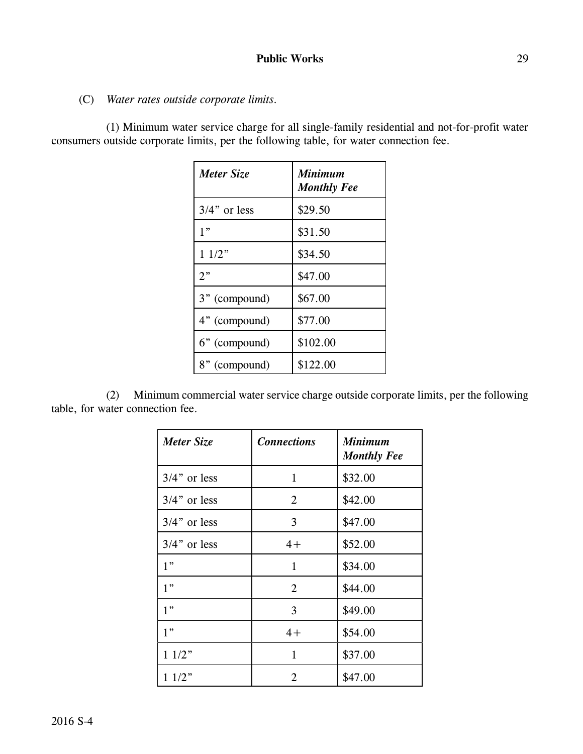(C) *Water rates outside corporate limits.*

(1) Minimum water service charge for all single-family residential and not-for-profit water consumers outside corporate limits, per the following table, for water connection fee.

| Meter Size      | <b>Minimum</b><br><b>Monthly Fee</b> |
|-----------------|--------------------------------------|
| $3/4$ " or less | \$29.50                              |
| 1"              | \$31.50                              |
| 11/2"           | \$34.50                              |
| 2"              | \$47.00                              |
| 3" (compound)   | \$67.00                              |
| 4" (compound)   | \$77.00                              |
| 6" (compound)   | \$102.00                             |
| 8" (compound)   | \$122.00                             |

(2) Minimum commercial water service charge outside corporate limits, per the following table, for water connection fee.

| Meter Size      | <b>Connections</b> | <b>Minimum</b><br><b>Monthly Fee</b> |
|-----------------|--------------------|--------------------------------------|
| $3/4$ " or less | $\mathbf{1}$       | \$32.00                              |
| $3/4$ " or less | 2                  | \$42.00                              |
| $3/4$ " or less | 3                  | \$47.00                              |
| $3/4$ " or less | $4+$               | \$52.00                              |
| 1"              | $\mathbf{1}$       | \$34.00                              |
| 1"              | 2                  | \$44.00                              |
| 1"              | 3                  | \$49.00                              |
| 1"              | $4+$               | \$54.00                              |
| 11/2"           | 1                  | \$37.00                              |
| 11/2"           | 2                  | \$47.00                              |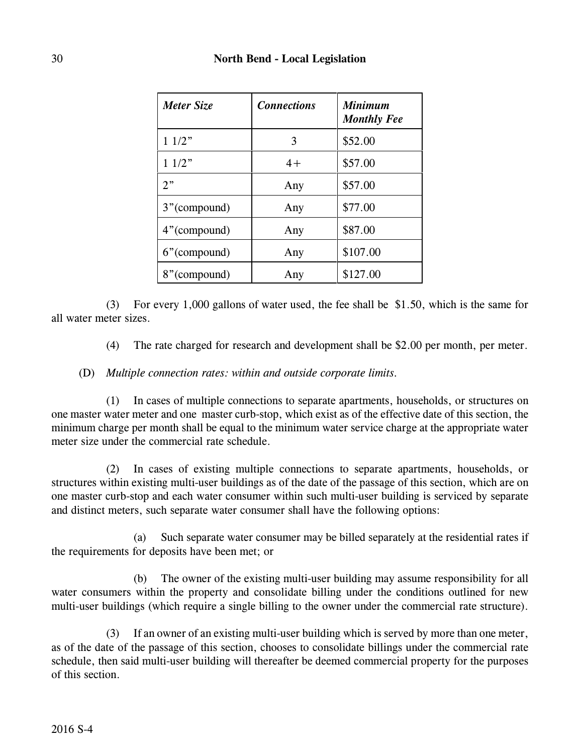| Meter Size   | <b>Connections</b> | <b>Minimum</b><br><b>Monthly Fee</b> |
|--------------|--------------------|--------------------------------------|
| 11/2"        | 3                  | \$52.00                              |
| 11/2"        | $4+$               | \$57.00                              |
| $2$ "        | Any                | \$57.00                              |
| 3"(compound) | Any                | \$77.00                              |
| 4"(compound) | Any                | \$87.00                              |
| 6"(compound) | Any                | \$107.00                             |
| 8"(compound) | Any                | \$127.00                             |

(3) For every 1,000 gallons of water used, the fee shall be \$1.50, which is the same for all water meter sizes.

(4) The rate charged for research and development shall be \$2.00 per month, per meter.

# (D) *Multiple connection rates: within and outside corporate limits.*

(1) In cases of multiple connections to separate apartments, households, or structures on one master water meter and one master curb-stop, which exist as of the effective date of this section, the minimum charge per month shall be equal to the minimum water service charge at the appropriate water meter size under the commercial rate schedule.

(2) In cases of existing multiple connections to separate apartments, households, or structures within existing multi-user buildings as of the date of the passage of this section, which are on one master curb-stop and each water consumer within such multi-user building is serviced by separate and distinct meters, such separate water consumer shall have the following options:

(a) Such separate water consumer may be billed separately at the residential rates if the requirements for deposits have been met; or

(b) The owner of the existing multi-user building may assume responsibility for all water consumers within the property and consolidate billing under the conditions outlined for new multi-user buildings (which require a single billing to the owner under the commercial rate structure).

(3) If an owner of an existing multi-user building which is served by more than one meter, as of the date of the passage of this section, chooses to consolidate billings under the commercial rate schedule, then said multi-user building will thereafter be deemed commercial property for the purposes of this section.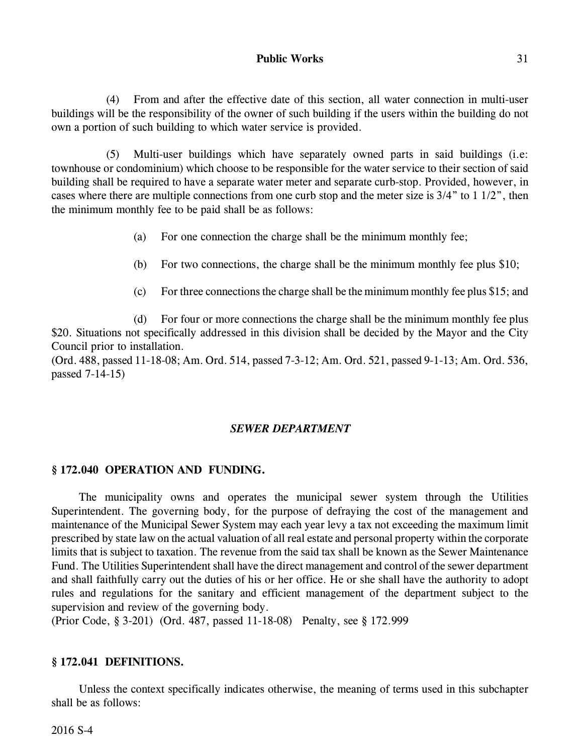(4) From and after the effective date of this section, all water connection in multi-user buildings will be the responsibility of the owner of such building if the users within the building do not own a portion of such building to which water service is provided.

(5) Multi-user buildings which have separately owned parts in said buildings (i.e: townhouse or condominium) which choose to be responsible for the water service to their section of said building shall be required to have a separate water meter and separate curb-stop. Provided, however, in cases where there are multiple connections from one curb stop and the meter size is 3/4" to 1 1/2", then the minimum monthly fee to be paid shall be as follows:

- (a) For one connection the charge shall be the minimum monthly fee;
- (b) For two connections, the charge shall be the minimum monthly fee plus \$10;
- (c) For three connections the charge shall be the minimum monthly fee plus \$15; and

(d) For four or more connections the charge shall be the minimum monthly fee plus \$20. Situations not specifically addressed in this division shall be decided by the Mayor and the City Council prior to installation.

(Ord. 488, passed 11-18-08; Am. Ord. 514, passed 7-3-12; Am. Ord. 521, passed 9-1-13; Am. Ord. 536, passed 7-14-15)

#### *SEWER DEPARTMENT*

#### **§ 172.040 OPERATION AND FUNDING.**

The municipality owns and operates the municipal sewer system through the Utilities Superintendent. The governing body, for the purpose of defraying the cost of the management and maintenance of the Municipal Sewer System may each year levy a tax not exceeding the maximum limit prescribed by state law on the actual valuation of all real estate and personal property within the corporate limits that is subject to taxation. The revenue from the said tax shall be known as the Sewer Maintenance Fund. The Utilities Superintendent shall have the direct management and control of the sewer department and shall faithfully carry out the duties of his or her office. He or she shall have the authority to adopt rules and regulations for the sanitary and efficient management of the department subject to the supervision and review of the governing body.

(Prior Code, § 3-201) (Ord. 487, passed 11-18-08) Penalty, see § 172.999

### **§ 172.041 DEFINITIONS.**

Unless the context specifically indicates otherwise, the meaning of terms used in this subchapter shall be as follows: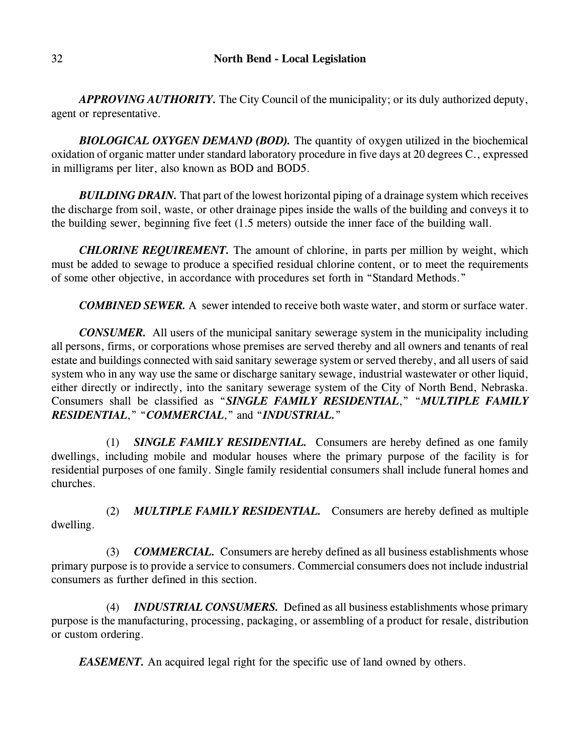*APPROVING AUTHORITY.* The City Council of the municipality; or its duly authorized deputy, agent or representative.

*BIOLOGICAL OXYGEN DEMAND (BOD).* The quantity of oxygen utilized in the biochemical oxidation of organic matter under standard laboratory procedure in five days at 20 degrees C., expressed in milligrams per liter, also known as BOD and BOD5.

**BUILDING DRAIN.** That part of the lowest horizontal piping of a drainage system which receives the discharge from soil, waste, or other drainage pipes inside the walls of the building and conveys it to the building sewer, beginning five feet (1.5 meters) outside the inner face of the building wall.

*CHLORINE REQUIREMENT.* The amount of chlorine, in parts per million by weight, which must be added to sewage to produce a specified residual chlorine content, or to meet the requirements of some other objective, in accordance with procedures set forth in "Standard Methods."

*COMBINED SEWER.* A sewer intended to receive both waste water, and storm or surface water.

*CONSUMER.* All users of the municipal sanitary sewerage system in the municipality including all persons, firms, or corporations whose premises are served thereby and all owners and tenants of real estate and buildings connected with said sanitary sewerage system or served thereby, and all users of said system who in any way use the same or discharge sanitary sewage, industrial wastewater or other liquid, either directly or indirectly, into the sanitary sewerage system of the City of North Bend, Nebraska. Consumers shall be classified as "*SINGLE FAMILY RESIDENTIAL*," "*MULTIPLE FAMILY RESIDENTIAL*," "*COMMERCIAL*," and "*INDUSTRIAL.*"

(1) *SINGLE FAMILY RESIDENTIAL.* Consumers are hereby defined as one family dwellings, including mobile and modular houses where the primary purpose of the facility is for residential purposes of one family. Single family residential consumers shall include funeral homes and churches.

(2) *MULTIPLE FAMILY RESIDENTIAL.* Consumers are hereby defined as multiple dwelling.

(3) *COMMERCIAL.* Consumers are hereby defined as all business establishments whose primary purpose is to provide a service to consumers. Commercial consumers does not include industrial consumers as further defined in this section.

(4) *INDUSTRIAL CONSUMERS.* Defined as all business establishments whose primary purpose is the manufacturing, processing, packaging, or assembling of a product for resale, distribution or custom ordering.

*EASEMENT*. An acquired legal right for the specific use of land owned by others.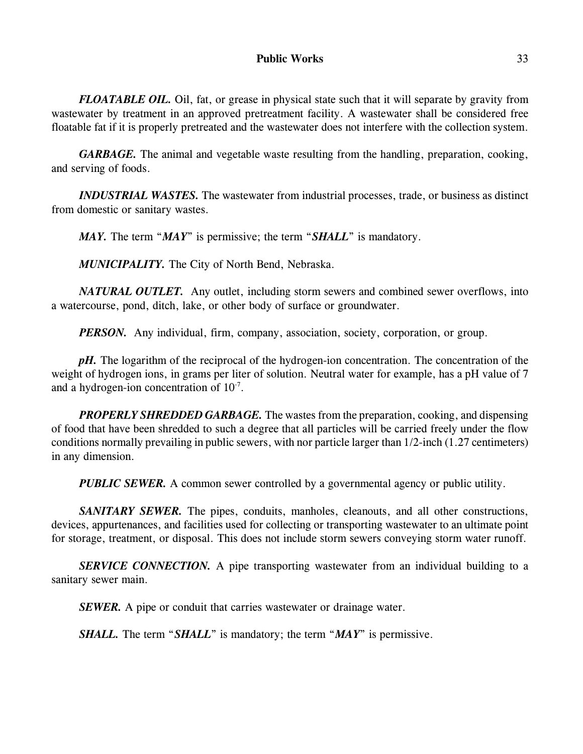*FLOATABLE OIL.* Oil, fat, or grease in physical state such that it will separate by gravity from wastewater by treatment in an approved pretreatment facility. A wastewater shall be considered free floatable fat if it is properly pretreated and the wastewater does not interfere with the collection system.

*GARBAGE.* The animal and vegetable waste resulting from the handling, preparation, cooking, and serving of foods.

*INDUSTRIAL WASTES.* The wastewater from industrial processes, trade, or business as distinct from domestic or sanitary wastes.

*MAY.* The term "*MAY*" is permissive; the term "*SHALL*" is mandatory.

*MUNICIPALITY.* The City of North Bend, Nebraska.

*NATURAL OUTLET.* Any outlet, including storm sewers and combined sewer overflows, into a watercourse, pond, ditch, lake, or other body of surface or groundwater.

*PERSON.* Any individual, firm, company, association, society, corporation, or group.

*pH*. The logarithm of the reciprocal of the hydrogen-ion concentration. The concentration of the weight of hydrogen ions, in grams per liter of solution. Neutral water for example, has a pH value of 7 and a hydrogen-ion concentration of  $10^{-7}$ .

*PROPERLY SHREDDED GARBAGE.* The wastes from the preparation, cooking, and dispensing of food that have been shredded to such a degree that all particles will be carried freely under the flow conditions normally prevailing in public sewers, with nor particle larger than 1/2-inch (1.27 centimeters) in any dimension.

*PUBLIC SEWER.* A common sewer controlled by a governmental agency or public utility.

*SANITARY SEWER.* The pipes, conduits, manholes, cleanouts, and all other constructions, devices, appurtenances, and facilities used for collecting or transporting wastewater to an ultimate point for storage, treatment, or disposal. This does not include storm sewers conveying storm water runoff.

**SERVICE CONNECTION.** A pipe transporting wastewater from an individual building to a sanitary sewer main.

*SEWER.* A pipe or conduit that carries wastewater or drainage water.

*SHALL*. The term "*SHALL*" is mandatory; the term "*MAY*" is permissive.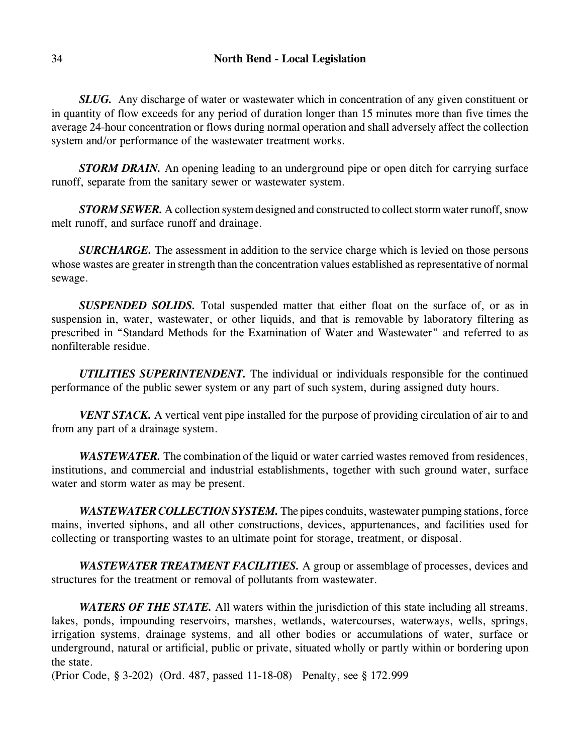*SLUG.* Any discharge of water or wastewater which in concentration of any given constituent or in quantity of flow exceeds for any period of duration longer than 15 minutes more than five times the average 24-hour concentration or flows during normal operation and shall adversely affect the collection system and/or performance of the wastewater treatment works.

*STORM DRAIN.* An opening leading to an underground pipe or open ditch for carrying surface runoff, separate from the sanitary sewer or wastewater system.

*STORM SEWER.* A collection system designed and constructed to collect storm water runoff, snow melt runoff, and surface runoff and drainage.

*SURCHARGE.* The assessment in addition to the service charge which is levied on those persons whose wastes are greater in strength than the concentration values established as representative of normal sewage.

*SUSPENDED SOLIDS.* Total suspended matter that either float on the surface of, or as in suspension in, water, wastewater, or other liquids, and that is removable by laboratory filtering as prescribed in "Standard Methods for the Examination of Water and Wastewater" and referred to as nonfilterable residue.

*UTILITIES SUPERINTENDENT.* The individual or individuals responsible for the continued performance of the public sewer system or any part of such system, during assigned duty hours.

*VENT STACK.* A vertical vent pipe installed for the purpose of providing circulation of air to and from any part of a drainage system.

*WASTEWATER.* The combination of the liquid or water carried wastes removed from residences, institutions, and commercial and industrial establishments, together with such ground water, surface water and storm water as may be present.

*WASTEWATER COLLECTION SYSTEM.* The pipes conduits, wastewater pumping stations, force mains, inverted siphons, and all other constructions, devices, appurtenances, and facilities used for collecting or transporting wastes to an ultimate point for storage, treatment, or disposal.

*WASTEWATER TREATMENT FACILITIES.* A group or assemblage of processes, devices and structures for the treatment or removal of pollutants from wastewater.

*WATERS OF THE STATE.* All waters within the jurisdiction of this state including all streams, lakes, ponds, impounding reservoirs, marshes, wetlands, watercourses, waterways, wells, springs, irrigation systems, drainage systems, and all other bodies or accumulations of water, surface or underground, natural or artificial, public or private, situated wholly or partly within or bordering upon the state.

(Prior Code, § 3-202) (Ord. 487, passed 11-18-08) Penalty, see § 172.999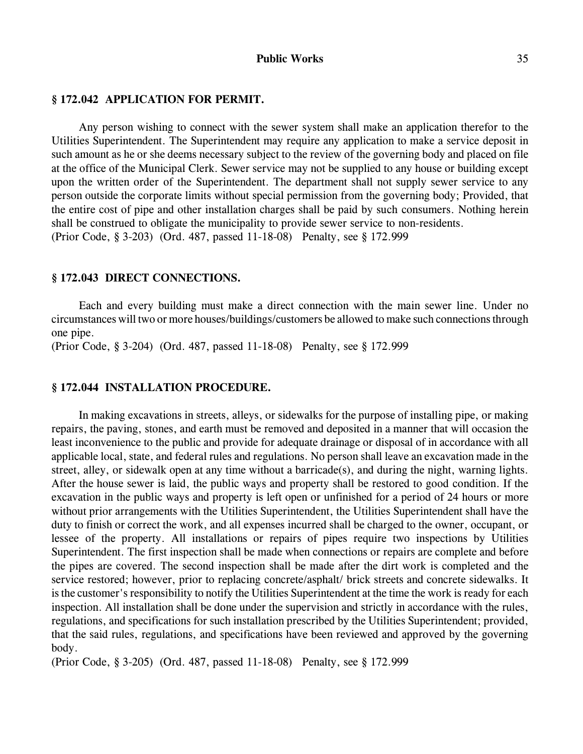## **§ 172.042 APPLICATION FOR PERMIT.**

Any person wishing to connect with the sewer system shall make an application therefor to the Utilities Superintendent. The Superintendent may require any application to make a service deposit in such amount as he or she deems necessary subject to the review of the governing body and placed on file at the office of the Municipal Clerk. Sewer service may not be supplied to any house or building except upon the written order of the Superintendent. The department shall not supply sewer service to any person outside the corporate limits without special permission from the governing body; Provided, that the entire cost of pipe and other installation charges shall be paid by such consumers. Nothing herein shall be construed to obligate the municipality to provide sewer service to non-residents. (Prior Code, § 3-203) (Ord. 487, passed 11-18-08) Penalty, see § 172.999

#### **§ 172.043 DIRECT CONNECTIONS.**

Each and every building must make a direct connection with the main sewer line. Under no circumstances will two or more houses/buildings/customers be allowed to make such connections through one pipe.

(Prior Code, § 3-204) (Ord. 487, passed 11-18-08) Penalty, see § 172.999

## **§ 172.044 INSTALLATION PROCEDURE.**

In making excavations in streets, alleys, or sidewalks for the purpose of installing pipe, or making repairs, the paving, stones, and earth must be removed and deposited in a manner that will occasion the least inconvenience to the public and provide for adequate drainage or disposal of in accordance with all applicable local, state, and federal rules and regulations. No person shall leave an excavation made in the street, alley, or sidewalk open at any time without a barricade(s), and during the night, warning lights. After the house sewer is laid, the public ways and property shall be restored to good condition. If the excavation in the public ways and property is left open or unfinished for a period of 24 hours or more without prior arrangements with the Utilities Superintendent, the Utilities Superintendent shall have the duty to finish or correct the work, and all expenses incurred shall be charged to the owner, occupant, or lessee of the property. All installations or repairs of pipes require two inspections by Utilities Superintendent. The first inspection shall be made when connections or repairs are complete and before the pipes are covered. The second inspection shall be made after the dirt work is completed and the service restored; however, prior to replacing concrete/asphalt/ brick streets and concrete sidewalks. It is the customer's responsibility to notify the Utilities Superintendent at the time the work is ready for each inspection. All installation shall be done under the supervision and strictly in accordance with the rules, regulations, and specifications for such installation prescribed by the Utilities Superintendent; provided, that the said rules, regulations, and specifications have been reviewed and approved by the governing body.

(Prior Code, § 3-205) (Ord. 487, passed 11-18-08) Penalty, see § 172.999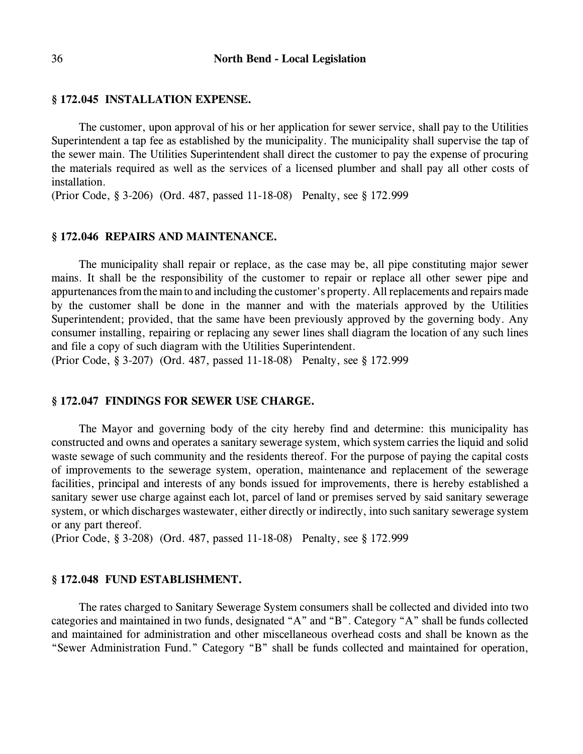#### **§ 172.045 INSTALLATION EXPENSE.**

The customer, upon approval of his or her application for sewer service, shall pay to the Utilities Superintendent a tap fee as established by the municipality. The municipality shall supervise the tap of the sewer main. The Utilities Superintendent shall direct the customer to pay the expense of procuring the materials required as well as the services of a licensed plumber and shall pay all other costs of installation.

(Prior Code, § 3-206) (Ord. 487, passed 11-18-08) Penalty, see § 172.999

#### **§ 172.046 REPAIRS AND MAINTENANCE.**

The municipality shall repair or replace, as the case may be, all pipe constituting major sewer mains. It shall be the responsibility of the customer to repair or replace all other sewer pipe and appurtenances from the main to and including the customer's property. All replacements and repairs made by the customer shall be done in the manner and with the materials approved by the Utilities Superintendent; provided, that the same have been previously approved by the governing body. Any consumer installing, repairing or replacing any sewer lines shall diagram the location of any such lines and file a copy of such diagram with the Utilities Superintendent.

(Prior Code, § 3-207) (Ord. 487, passed 11-18-08) Penalty, see § 172.999

#### **§ 172.047 FINDINGS FOR SEWER USE CHARGE.**

The Mayor and governing body of the city hereby find and determine: this municipality has constructed and owns and operates a sanitary sewerage system, which system carries the liquid and solid waste sewage of such community and the residents thereof. For the purpose of paying the capital costs of improvements to the sewerage system, operation, maintenance and replacement of the sewerage facilities, principal and interests of any bonds issued for improvements, there is hereby established a sanitary sewer use charge against each lot, parcel of land or premises served by said sanitary sewerage system, or which discharges wastewater, either directly or indirectly, into such sanitary sewerage system or any part thereof.

(Prior Code, § 3-208) (Ord. 487, passed 11-18-08) Penalty, see § 172.999

#### **§ 172.048 FUND ESTABLISHMENT.**

The rates charged to Sanitary Sewerage System consumers shall be collected and divided into two categories and maintained in two funds, designated "A" and "B". Category "A" shall be funds collected and maintained for administration and other miscellaneous overhead costs and shall be known as the "Sewer Administration Fund." Category "B" shall be funds collected and maintained for operation,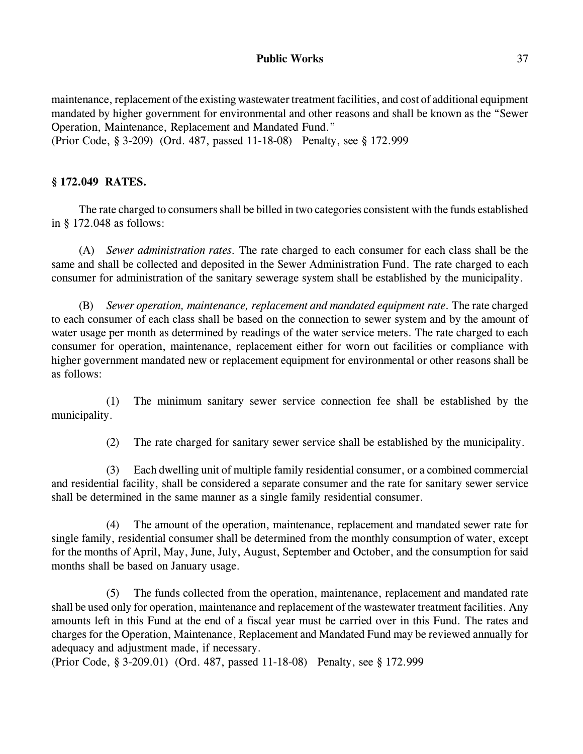maintenance, replacement of the existing wastewater treatment facilities, and cost of additional equipment mandated by higher government for environmental and other reasons and shall be known as the "Sewer Operation, Maintenance, Replacement and Mandated Fund."

(Prior Code, § 3-209) (Ord. 487, passed 11-18-08) Penalty, see § 172.999

## **§ 172.049 RATES.**

The rate charged to consumers shall be billed in two categories consistent with the funds established in § 172.048 as follows:

(A) *Sewer administration rates.* The rate charged to each consumer for each class shall be the same and shall be collected and deposited in the Sewer Administration Fund. The rate charged to each consumer for administration of the sanitary sewerage system shall be established by the municipality.

(B) *Sewer operation, maintenance, replacement and mandated equipment rate.* The rate charged to each consumer of each class shall be based on the connection to sewer system and by the amount of water usage per month as determined by readings of the water service meters. The rate charged to each consumer for operation, maintenance, replacement either for worn out facilities or compliance with higher government mandated new or replacement equipment for environmental or other reasons shall be as follows:

(1) The minimum sanitary sewer service connection fee shall be established by the municipality.

(2) The rate charged for sanitary sewer service shall be established by the municipality.

(3) Each dwelling unit of multiple family residential consumer, or a combined commercial and residential facility, shall be considered a separate consumer and the rate for sanitary sewer service shall be determined in the same manner as a single family residential consumer.

(4) The amount of the operation, maintenance, replacement and mandated sewer rate for single family, residential consumer shall be determined from the monthly consumption of water, except for the months of April, May, June, July, August, September and October, and the consumption for said months shall be based on January usage.

(5) The funds collected from the operation, maintenance, replacement and mandated rate shall be used only for operation, maintenance and replacement of the wastewater treatment facilities. Any amounts left in this Fund at the end of a fiscal year must be carried over in this Fund. The rates and charges for the Operation, Maintenance, Replacement and Mandated Fund may be reviewed annually for adequacy and adjustment made, if necessary.

(Prior Code, § 3-209.01) (Ord. 487, passed 11-18-08) Penalty, see § 172.999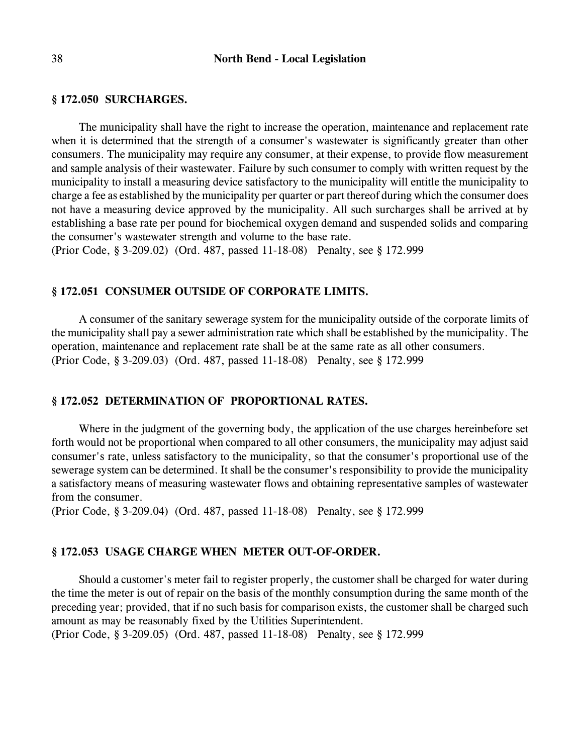#### **§ 172.050 SURCHARGES.**

The municipality shall have the right to increase the operation, maintenance and replacement rate when it is determined that the strength of a consumer's wastewater is significantly greater than other consumers. The municipality may require any consumer, at their expense, to provide flow measurement and sample analysis of their wastewater. Failure by such consumer to comply with written request by the municipality to install a measuring device satisfactory to the municipality will entitle the municipality to charge a fee as established by the municipality per quarter or part thereof during which the consumer does not have a measuring device approved by the municipality. All such surcharges shall be arrived at by establishing a base rate per pound for biochemical oxygen demand and suspended solids and comparing the consumer's wastewater strength and volume to the base rate.

(Prior Code, § 3-209.02) (Ord. 487, passed 11-18-08) Penalty, see § 172.999

#### **§ 172.051 CONSUMER OUTSIDE OF CORPORATE LIMITS.**

A consumer of the sanitary sewerage system for the municipality outside of the corporate limits of the municipality shall pay a sewer administration rate which shall be established by the municipality. The operation, maintenance and replacement rate shall be at the same rate as all other consumers. (Prior Code, § 3-209.03) (Ord. 487, passed 11-18-08) Penalty, see § 172.999

#### **§ 172.052 DETERMINATION OF PROPORTIONAL RATES.**

Where in the judgment of the governing body, the application of the use charges hereinbefore set forth would not be proportional when compared to all other consumers, the municipality may adjust said consumer's rate, unless satisfactory to the municipality, so that the consumer's proportional use of the sewerage system can be determined. It shall be the consumer's responsibility to provide the municipality a satisfactory means of measuring wastewater flows and obtaining representative samples of wastewater from the consumer.

(Prior Code, § 3-209.04) (Ord. 487, passed 11-18-08) Penalty, see § 172.999

# **§ 172.053 USAGE CHARGE WHEN METER OUT-OF-ORDER.**

Should a customer's meter fail to register properly, the customer shall be charged for water during the time the meter is out of repair on the basis of the monthly consumption during the same month of the preceding year; provided, that if no such basis for comparison exists, the customer shall be charged such amount as may be reasonably fixed by the Utilities Superintendent.

(Prior Code, § 3-209.05) (Ord. 487, passed 11-18-08) Penalty, see § 172.999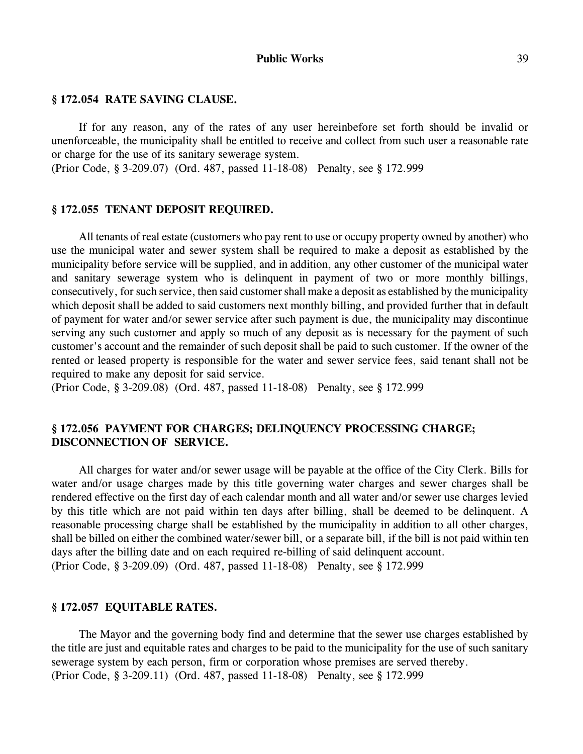#### **§ 172.054 RATE SAVING CLAUSE.**

If for any reason, any of the rates of any user hereinbefore set forth should be invalid or unenforceable, the municipality shall be entitled to receive and collect from such user a reasonable rate or charge for the use of its sanitary sewerage system.

(Prior Code, § 3-209.07) (Ord. 487, passed 11-18-08) Penalty, see § 172.999

### **§ 172.055 TENANT DEPOSIT REQUIRED.**

All tenants of real estate (customers who pay rent to use or occupy property owned by another) who use the municipal water and sewer system shall be required to make a deposit as established by the municipality before service will be supplied, and in addition, any other customer of the municipal water and sanitary sewerage system who is delinquent in payment of two or more monthly billings, consecutively, for such service, then said customer shall make a deposit as established by the municipality which deposit shall be added to said customers next monthly billing, and provided further that in default of payment for water and/or sewer service after such payment is due, the municipality may discontinue serving any such customer and apply so much of any deposit as is necessary for the payment of such customer's account and the remainder of such deposit shall be paid to such customer. If the owner of the rented or leased property is responsible for the water and sewer service fees, said tenant shall not be required to make any deposit for said service.

(Prior Code, § 3-209.08) (Ord. 487, passed 11-18-08) Penalty, see § 172.999

## **§ 172.056 PAYMENT FOR CHARGES; DELINQUENCY PROCESSING CHARGE; DISCONNECTION OF SERVICE.**

All charges for water and/or sewer usage will be payable at the office of the City Clerk. Bills for water and/or usage charges made by this title governing water charges and sewer charges shall be rendered effective on the first day of each calendar month and all water and/or sewer use charges levied by this title which are not paid within ten days after billing, shall be deemed to be delinquent. A reasonable processing charge shall be established by the municipality in addition to all other charges, shall be billed on either the combined water/sewer bill, or a separate bill, if the bill is not paid within ten days after the billing date and on each required re-billing of said delinquent account. (Prior Code, § 3-209.09) (Ord. 487, passed 11-18-08) Penalty, see § 172.999

#### **§ 172.057 EQUITABLE RATES.**

The Mayor and the governing body find and determine that the sewer use charges established by the title are just and equitable rates and charges to be paid to the municipality for the use of such sanitary sewerage system by each person, firm or corporation whose premises are served thereby. (Prior Code, § 3-209.11) (Ord. 487, passed 11-18-08) Penalty, see § 172.999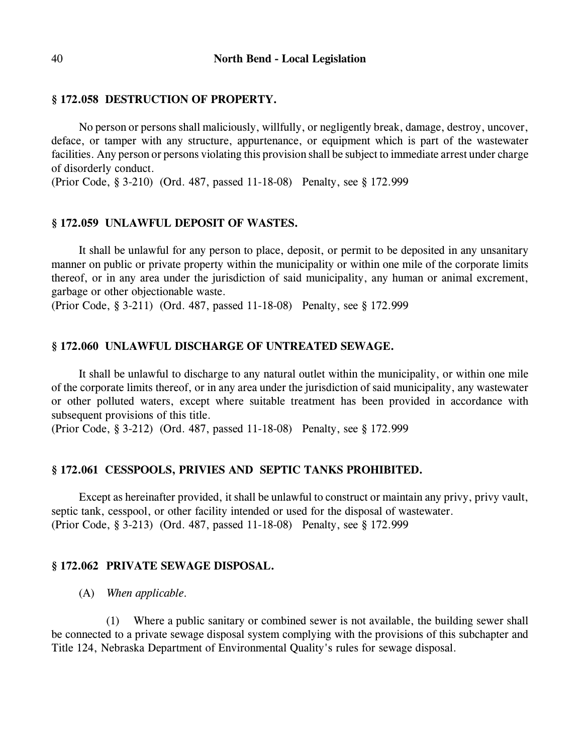# **§ 172.058 DESTRUCTION OF PROPERTY.**

No person or persons shall maliciously, willfully, or negligently break, damage, destroy, uncover, deface, or tamper with any structure, appurtenance, or equipment which is part of the wastewater facilities. Any person or persons violating this provision shall be subject to immediate arrest under charge of disorderly conduct.

(Prior Code, § 3-210) (Ord. 487, passed 11-18-08) Penalty, see § 172.999

#### **§ 172.059 UNLAWFUL DEPOSIT OF WASTES.**

It shall be unlawful for any person to place, deposit, or permit to be deposited in any unsanitary manner on public or private property within the municipality or within one mile of the corporate limits thereof, or in any area under the jurisdiction of said municipality, any human or animal excrement, garbage or other objectionable waste.

(Prior Code, § 3-211) (Ord. 487, passed 11-18-08) Penalty, see § 172.999

# **§ 172.060 UNLAWFUL DISCHARGE OF UNTREATED SEWAGE.**

It shall be unlawful to discharge to any natural outlet within the municipality, or within one mile of the corporate limits thereof, or in any area under the jurisdiction of said municipality, any wastewater or other polluted waters, except where suitable treatment has been provided in accordance with subsequent provisions of this title.

(Prior Code, § 3-212) (Ord. 487, passed 11-18-08) Penalty, see § 172.999

#### **§ 172.061 CESSPOOLS, PRIVIES AND SEPTIC TANKS PROHIBITED.**

Except as hereinafter provided, it shall be unlawful to construct or maintain any privy, privy vault, septic tank, cesspool, or other facility intended or used for the disposal of wastewater. (Prior Code, § 3-213) (Ord. 487, passed 11-18-08) Penalty, see § 172.999

#### **§ 172.062 PRIVATE SEWAGE DISPOSAL.**

(A) *When applicable.* 

(1) Where a public sanitary or combined sewer is not available, the building sewer shall be connected to a private sewage disposal system complying with the provisions of this subchapter and Title 124, Nebraska Department of Environmental Quality's rules for sewage disposal.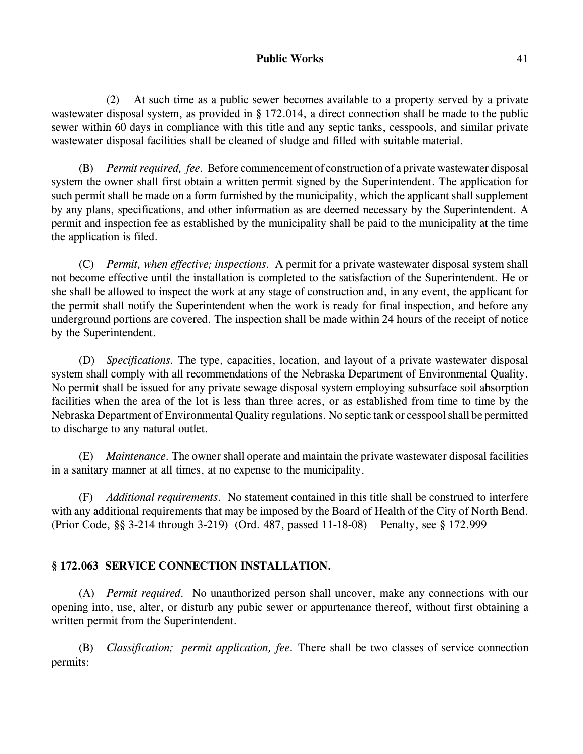(2) At such time as a public sewer becomes available to a property served by a private wastewater disposal system, as provided in § 172.014, a direct connection shall be made to the public sewer within 60 days in compliance with this title and any septic tanks, cesspools, and similar private wastewater disposal facilities shall be cleaned of sludge and filled with suitable material.

(B) *Permit required, fee.* Before commencement of construction of a private wastewater disposal system the owner shall first obtain a written permit signed by the Superintendent. The application for such permit shall be made on a form furnished by the municipality, which the applicant shall supplement by any plans, specifications, and other information as are deemed necessary by the Superintendent. A permit and inspection fee as established by the municipality shall be paid to the municipality at the time the application is filed.

(C) *Permit, when effective; inspections.* A permit for a private wastewater disposal system shall not become effective until the installation is completed to the satisfaction of the Superintendent. He or she shall be allowed to inspect the work at any stage of construction and, in any event, the applicant for the permit shall notify the Superintendent when the work is ready for final inspection, and before any underground portions are covered. The inspection shall be made within 24 hours of the receipt of notice by the Superintendent.

(D) *Specifications.* The type, capacities, location, and layout of a private wastewater disposal system shall comply with all recommendations of the Nebraska Department of Environmental Quality. No permit shall be issued for any private sewage disposal system employing subsurface soil absorption facilities when the area of the lot is less than three acres, or as established from time to time by the Nebraska Department of Environmental Quality regulations. No septic tank or cesspool shall be permitted to discharge to any natural outlet.

(E) *Maintenance.* The owner shall operate and maintain the private wastewater disposal facilities in a sanitary manner at all times, at no expense to the municipality.

(F) *Additional requirements.* No statement contained in this title shall be construed to interfere with any additional requirements that may be imposed by the Board of Health of the City of North Bend. (Prior Code, §§ 3-214 through 3-219) (Ord. 487, passed 11-18-08) Penalty, see § 172.999

# **§ 172.063 SERVICE CONNECTION INSTALLATION.**

(A) *Permit required.* No unauthorized person shall uncover, make any connections with our opening into, use, alter, or disturb any pubic sewer or appurtenance thereof, without first obtaining a written permit from the Superintendent.

(B) *Classification; permit application, fee.* There shall be two classes of service connection permits: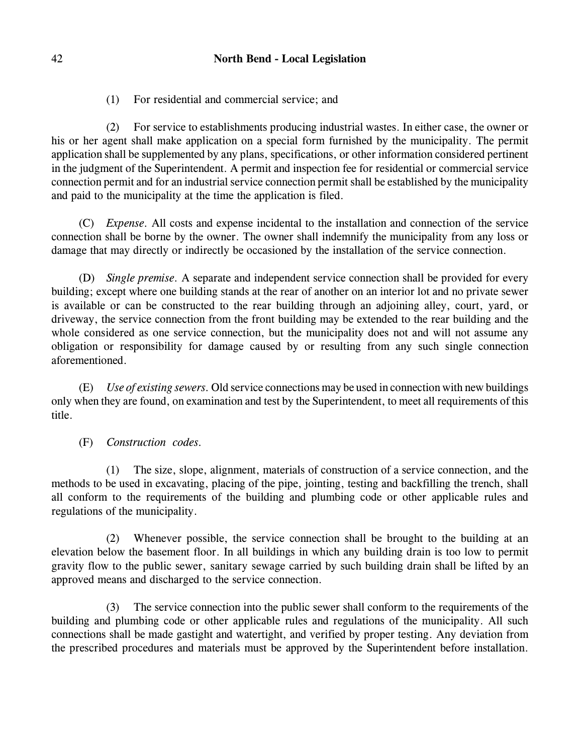(1) For residential and commercial service; and

(2) For service to establishments producing industrial wastes. In either case, the owner or his or her agent shall make application on a special form furnished by the municipality. The permit application shall be supplemented by any plans, specifications, or other information considered pertinent in the judgment of the Superintendent. A permit and inspection fee for residential or commercial service connection permit and for an industrial service connection permit shall be established by the municipality and paid to the municipality at the time the application is filed.

(C) *Expense.* All costs and expense incidental to the installation and connection of the service connection shall be borne by the owner. The owner shall indemnify the municipality from any loss or damage that may directly or indirectly be occasioned by the installation of the service connection.

(D) *Single premise.* A separate and independent service connection shall be provided for every building; except where one building stands at the rear of another on an interior lot and no private sewer is available or can be constructed to the rear building through an adjoining alley, court, yard, or driveway, the service connection from the front building may be extended to the rear building and the whole considered as one service connection, but the municipality does not and will not assume any obligation or responsibility for damage caused by or resulting from any such single connection aforementioned.

(E) *Use of existing sewers.* Old service connections may be used in connection with new buildings only when they are found, on examination and test by the Superintendent, to meet all requirements of this title.

(F) *Construction codes.* 

(1) The size, slope, alignment, materials of construction of a service connection, and the methods to be used in excavating, placing of the pipe, jointing, testing and backfilling the trench, shall all conform to the requirements of the building and plumbing code or other applicable rules and regulations of the municipality.

(2) Whenever possible, the service connection shall be brought to the building at an elevation below the basement floor. In all buildings in which any building drain is too low to permit gravity flow to the public sewer, sanitary sewage carried by such building drain shall be lifted by an approved means and discharged to the service connection.

(3) The service connection into the public sewer shall conform to the requirements of the building and plumbing code or other applicable rules and regulations of the municipality. All such connections shall be made gastight and watertight, and verified by proper testing. Any deviation from the prescribed procedures and materials must be approved by the Superintendent before installation.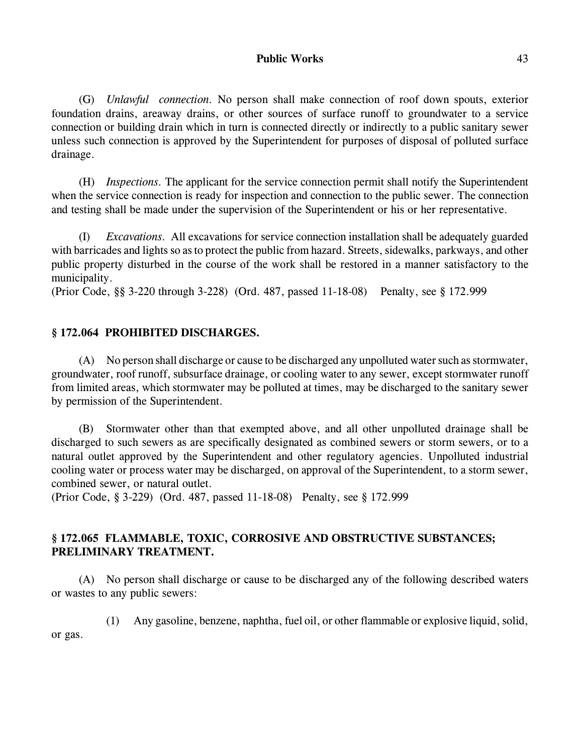(G) *Unlawful connection.* No person shall make connection of roof down spouts, exterior foundation drains, areaway drains, or other sources of surface runoff to groundwater to a service connection or building drain which in turn is connected directly or indirectly to a public sanitary sewer unless such connection is approved by the Superintendent for purposes of disposal of polluted surface drainage.

(H) *Inspections.* The applicant for the service connection permit shall notify the Superintendent when the service connection is ready for inspection and connection to the public sewer. The connection and testing shall be made under the supervision of the Superintendent or his or her representative.

(I) *Excavations.* All excavations for service connection installation shall be adequately guarded with barricades and lights so as to protect the public from hazard. Streets, sidewalks, parkways, and other public property disturbed in the course of the work shall be restored in a manner satisfactory to the municipality.

(Prior Code, §§ 3-220 through 3-228) (Ord. 487, passed 11-18-08) Penalty, see § 172.999

# **§ 172.064 PROHIBITED DISCHARGES.**

(A) No person shall discharge or cause to be discharged any unpolluted water such as stormwater, groundwater, roof runoff, subsurface drainage, or cooling water to any sewer, except stormwater runoff from limited areas, which stormwater may be polluted at times, may be discharged to the sanitary sewer by permission of the Superintendent.

(B) Stormwater other than that exempted above, and all other unpolluted drainage shall be discharged to such sewers as are specifically designated as combined sewers or storm sewers, or to a natural outlet approved by the Superintendent and other regulatory agencies. Unpolluted industrial cooling water or process water may be discharged, on approval of the Superintendent, to a storm sewer, combined sewer, or natural outlet.

(Prior Code, § 3-229) (Ord. 487, passed 11-18-08) Penalty, see § 172.999

# **§ 172.065 FLAMMABLE, TOXIC, CORROSIVE AND OBSTRUCTIVE SUBSTANCES; PRELIMINARY TREATMENT.**

(A) No person shall discharge or cause to be discharged any of the following described waters or wastes to any public sewers:

(1) Any gasoline, benzene, naphtha, fuel oil, or other flammable or explosive liquid, solid, or gas.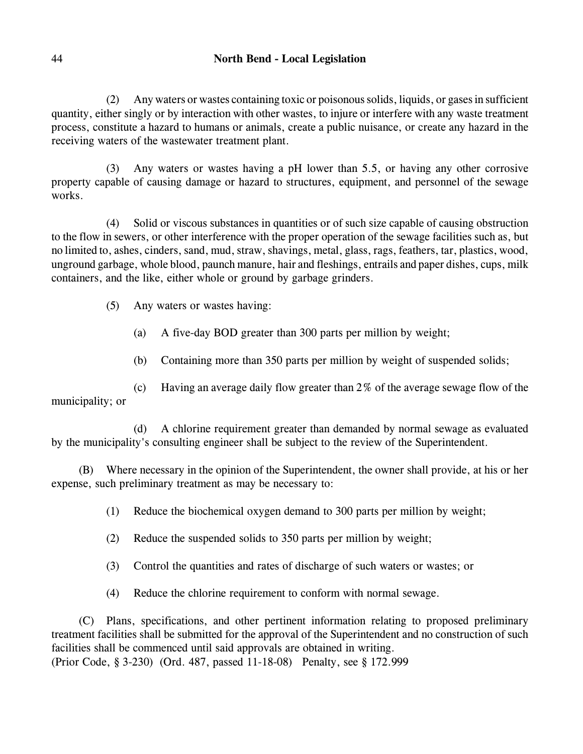# 44 **North Bend - Local Legislation**

(2) Any waters or wastes containing toxic or poisonous solids, liquids, or gases in sufficient quantity, either singly or by interaction with other wastes, to injure or interfere with any waste treatment process, constitute a hazard to humans or animals, create a public nuisance, or create any hazard in the receiving waters of the wastewater treatment plant.

(3) Any waters or wastes having a pH lower than 5.5, or having any other corrosive property capable of causing damage or hazard to structures, equipment, and personnel of the sewage works.

(4) Solid or viscous substances in quantities or of such size capable of causing obstruction to the flow in sewers, or other interference with the proper operation of the sewage facilities such as, but no limited to, ashes, cinders, sand, mud, straw, shavings, metal, glass, rags, feathers, tar, plastics, wood, unground garbage, whole blood, paunch manure, hair and fleshings, entrails and paper dishes, cups, milk containers, and the like, either whole or ground by garbage grinders.

- (5) Any waters or wastes having:
	- (a) A five-day BOD greater than 300 parts per million by weight;
	- (b) Containing more than 350 parts per million by weight of suspended solids;

(c) Having an average daily flow greater than 2% of the average sewage flow of the municipality; or

(d) A chlorine requirement greater than demanded by normal sewage as evaluated by the municipality's consulting engineer shall be subject to the review of the Superintendent.

(B) Where necessary in the opinion of the Superintendent, the owner shall provide, at his or her expense, such preliminary treatment as may be necessary to:

(1) Reduce the biochemical oxygen demand to 300 parts per million by weight;

- (2) Reduce the suspended solids to 350 parts per million by weight;
- (3) Control the quantities and rates of discharge of such waters or wastes; or
- (4) Reduce the chlorine requirement to conform with normal sewage.

(C) Plans, specifications, and other pertinent information relating to proposed preliminary treatment facilities shall be submitted for the approval of the Superintendent and no construction of such facilities shall be commenced until said approvals are obtained in writing.

(Prior Code, § 3-230) (Ord. 487, passed 11-18-08) Penalty, see § 172.999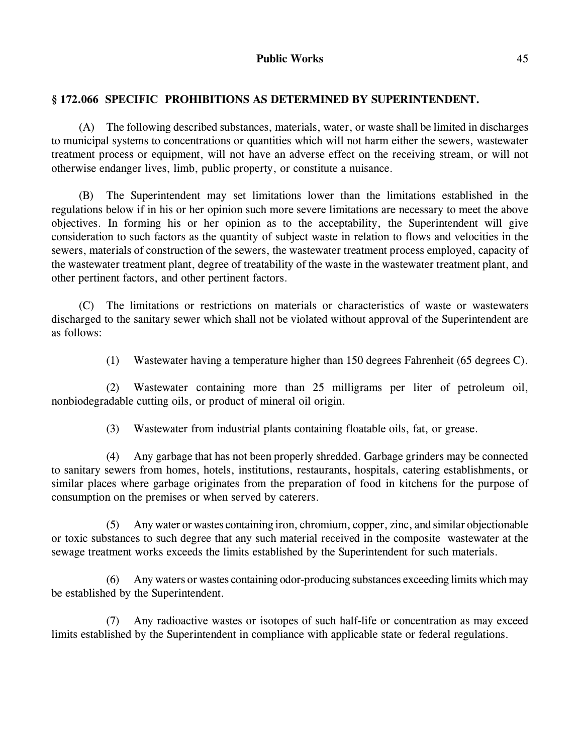# **§ 172.066 SPECIFIC PROHIBITIONS AS DETERMINED BY SUPERINTENDENT.**

(A) The following described substances, materials, water, or waste shall be limited in discharges to municipal systems to concentrations or quantities which will not harm either the sewers, wastewater treatment process or equipment, will not have an adverse effect on the receiving stream, or will not otherwise endanger lives, limb, public property, or constitute a nuisance.

(B) The Superintendent may set limitations lower than the limitations established in the regulations below if in his or her opinion such more severe limitations are necessary to meet the above objectives. In forming his or her opinion as to the acceptability, the Superintendent will give consideration to such factors as the quantity of subject waste in relation to flows and velocities in the sewers, materials of construction of the sewers, the wastewater treatment process employed, capacity of the wastewater treatment plant, degree of treatability of the waste in the wastewater treatment plant, and other pertinent factors, and other pertinent factors.

(C) The limitations or restrictions on materials or characteristics of waste or wastewaters discharged to the sanitary sewer which shall not be violated without approval of the Superintendent are as follows:

(1) Wastewater having a temperature higher than 150 degrees Fahrenheit (65 degrees C).

(2) Wastewater containing more than 25 milligrams per liter of petroleum oil, nonbiodegradable cutting oils, or product of mineral oil origin.

(3) Wastewater from industrial plants containing floatable oils, fat, or grease.

(4) Any garbage that has not been properly shredded. Garbage grinders may be connected to sanitary sewers from homes, hotels, institutions, restaurants, hospitals, catering establishments, or similar places where garbage originates from the preparation of food in kitchens for the purpose of consumption on the premises or when served by caterers.

(5) Any water or wastes containing iron, chromium, copper, zinc, and similar objectionable or toxic substances to such degree that any such material received in the composite wastewater at the sewage treatment works exceeds the limits established by the Superintendent for such materials.

(6) Any waters or wastes containing odor-producing substances exceeding limits which may be established by the Superintendent.

(7) Any radioactive wastes or isotopes of such half-life or concentration as may exceed limits established by the Superintendent in compliance with applicable state or federal regulations.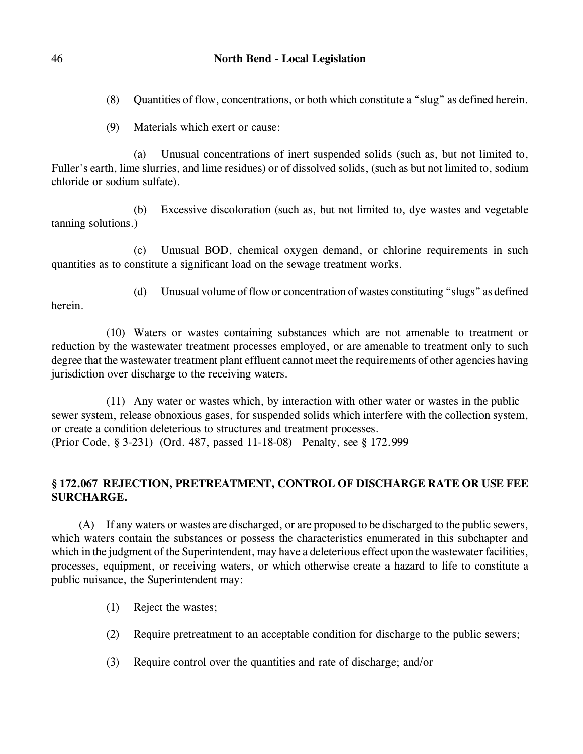(8) Quantities of flow, concentrations, or both which constitute a "slug" as defined herein.

(9) Materials which exert or cause:

(a) Unusual concentrations of inert suspended solids (such as, but not limited to, Fuller's earth, lime slurries, and lime residues) or of dissolved solids, (such as but not limited to, sodium chloride or sodium sulfate).

(b) Excessive discoloration (such as, but not limited to, dye wastes and vegetable tanning solutions.)

(c) Unusual BOD, chemical oxygen demand, or chlorine requirements in such quantities as to constitute a significant load on the sewage treatment works.

herein.

(d) Unusual volume of flow or concentration of wastes constituting "slugs" as defined

(10) Waters or wastes containing substances which are not amenable to treatment or reduction by the wastewater treatment processes employed, or are amenable to treatment only to such degree that the wastewater treatment plant effluent cannot meet the requirements of other agencies having jurisdiction over discharge to the receiving waters.

(11) Any water or wastes which, by interaction with other water or wastes in the public sewer system, release obnoxious gases, for suspended solids which interfere with the collection system, or create a condition deleterious to structures and treatment processes. (Prior Code, § 3-231) (Ord. 487, passed 11-18-08) Penalty, see § 172.999

# **§ 172.067 REJECTION, PRETREATMENT, CONTROL OF DISCHARGE RATE OR USE FEE SURCHARGE.**

(A) If any waters or wastes are discharged, or are proposed to be discharged to the public sewers, which waters contain the substances or possess the characteristics enumerated in this subchapter and which in the judgment of the Superintendent, may have a deleterious effect upon the wastewater facilities, processes, equipment, or receiving waters, or which otherwise create a hazard to life to constitute a public nuisance, the Superintendent may:

- (1) Reject the wastes;
- (2) Require pretreatment to an acceptable condition for discharge to the public sewers;
- (3) Require control over the quantities and rate of discharge; and/or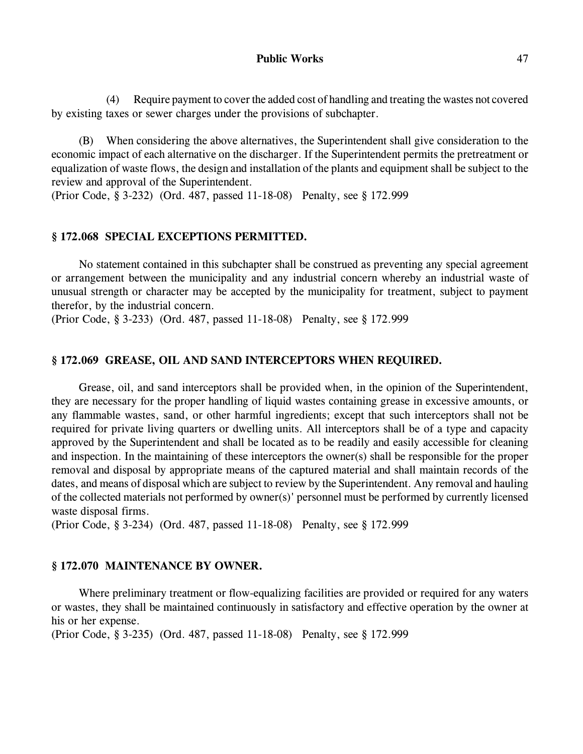(4) Require payment to cover the added cost of handling and treating the wastes not covered by existing taxes or sewer charges under the provisions of subchapter.

(B) When considering the above alternatives, the Superintendent shall give consideration to the economic impact of each alternative on the discharger. If the Superintendent permits the pretreatment or equalization of waste flows, the design and installation of the plants and equipment shall be subject to the review and approval of the Superintendent.

(Prior Code, § 3-232) (Ord. 487, passed 11-18-08) Penalty, see § 172.999

#### **§ 172.068 SPECIAL EXCEPTIONS PERMITTED.**

No statement contained in this subchapter shall be construed as preventing any special agreement or arrangement between the municipality and any industrial concern whereby an industrial waste of unusual strength or character may be accepted by the municipality for treatment, subject to payment therefor, by the industrial concern.

(Prior Code, § 3-233) (Ord. 487, passed 11-18-08) Penalty, see § 172.999

## **§ 172.069 GREASE, OIL AND SAND INTERCEPTORS WHEN REQUIRED.**

Grease, oil, and sand interceptors shall be provided when, in the opinion of the Superintendent, they are necessary for the proper handling of liquid wastes containing grease in excessive amounts, or any flammable wastes, sand, or other harmful ingredients; except that such interceptors shall not be required for private living quarters or dwelling units. All interceptors shall be of a type and capacity approved by the Superintendent and shall be located as to be readily and easily accessible for cleaning and inspection. In the maintaining of these interceptors the owner(s) shall be responsible for the proper removal and disposal by appropriate means of the captured material and shall maintain records of the dates, and means of disposal which are subject to review by the Superintendent. Any removal and hauling of the collected materials not performed by owner(s)' personnel must be performed by currently licensed waste disposal firms.

(Prior Code, § 3-234) (Ord. 487, passed 11-18-08) Penalty, see § 172.999

# **§ 172.070 MAINTENANCE BY OWNER.**

Where preliminary treatment or flow-equalizing facilities are provided or required for any waters or wastes, they shall be maintained continuously in satisfactory and effective operation by the owner at his or her expense.

(Prior Code, § 3-235) (Ord. 487, passed 11-18-08) Penalty, see § 172.999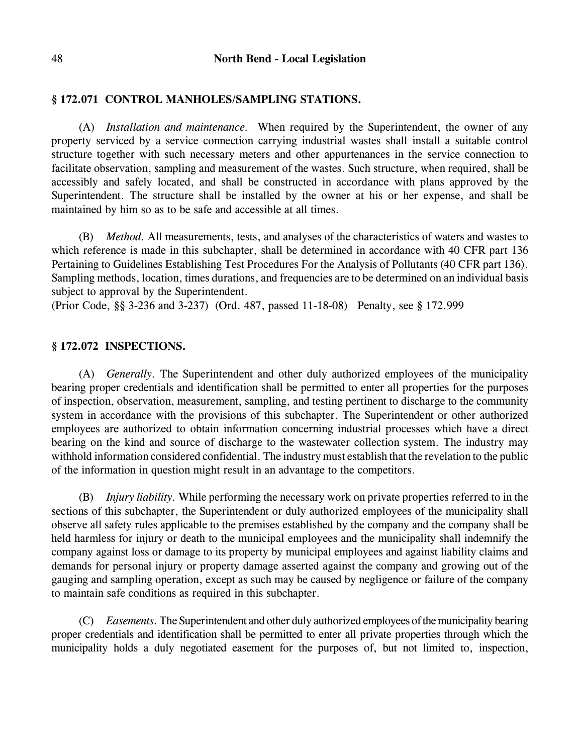# **§ 172.071 CONTROL MANHOLES/SAMPLING STATIONS.**

(A) *Installation and maintenance.* When required by the Superintendent, the owner of any property serviced by a service connection carrying industrial wastes shall install a suitable control structure together with such necessary meters and other appurtenances in the service connection to facilitate observation, sampling and measurement of the wastes. Such structure, when required, shall be accessibly and safely located, and shall be constructed in accordance with plans approved by the Superintendent. The structure shall be installed by the owner at his or her expense, and shall be maintained by him so as to be safe and accessible at all times.

(B) *Method.* All measurements, tests, and analyses of the characteristics of waters and wastes to which reference is made in this subchapter, shall be determined in accordance with 40 CFR part 136 Pertaining to Guidelines Establishing Test Procedures For the Analysis of Pollutants (40 CFR part 136). Sampling methods, location, times durations, and frequencies are to be determined on an individual basis subject to approval by the Superintendent.

(Prior Code, §§ 3-236 and 3-237) (Ord. 487, passed 11-18-08) Penalty, see § 172.999

## **§ 172.072 INSPECTIONS.**

(A) *Generally.* The Superintendent and other duly authorized employees of the municipality bearing proper credentials and identification shall be permitted to enter all properties for the purposes of inspection, observation, measurement, sampling, and testing pertinent to discharge to the community system in accordance with the provisions of this subchapter. The Superintendent or other authorized employees are authorized to obtain information concerning industrial processes which have a direct bearing on the kind and source of discharge to the wastewater collection system. The industry may withhold information considered confidential. The industry must establish that the revelation to the public of the information in question might result in an advantage to the competitors.

(B) *Injury liability.* While performing the necessary work on private properties referred to in the sections of this subchapter, the Superintendent or duly authorized employees of the municipality shall observe all safety rules applicable to the premises established by the company and the company shall be held harmless for injury or death to the municipal employees and the municipality shall indemnify the company against loss or damage to its property by municipal employees and against liability claims and demands for personal injury or property damage asserted against the company and growing out of the gauging and sampling operation, except as such may be caused by negligence or failure of the company to maintain safe conditions as required in this subchapter.

(C) *Easements.* The Superintendent and other duly authorized employees of the municipality bearing proper credentials and identification shall be permitted to enter all private properties through which the municipality holds a duly negotiated easement for the purposes of, but not limited to, inspection,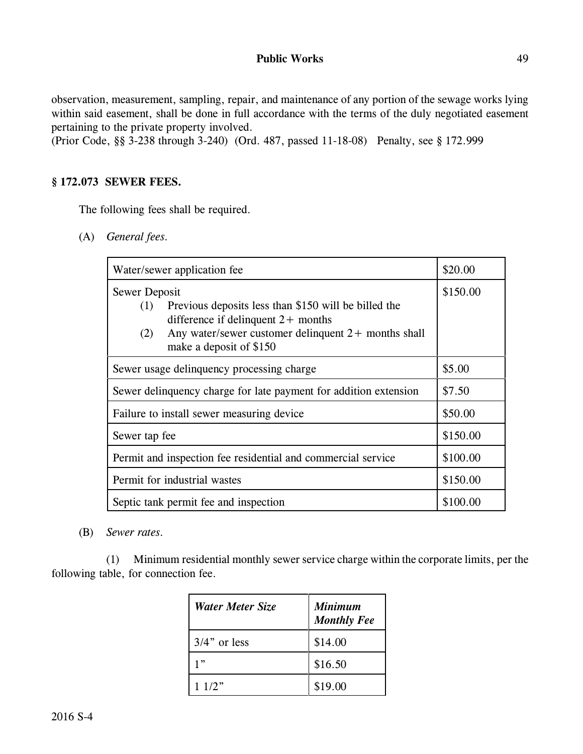observation, measurement, sampling, repair, and maintenance of any portion of the sewage works lying within said easement, shall be done in full accordance with the terms of the duly negotiated easement pertaining to the private property involved.

(Prior Code, §§ 3-238 through 3-240) (Ord. 487, passed 11-18-08) Penalty, see § 172.999

## **§ 172.073 SEWER FEES.**

The following fees shall be required.

(A) *General fees.*

| Water/sewer application fee                                                                                                                                                                                     | \$20.00  |
|-----------------------------------------------------------------------------------------------------------------------------------------------------------------------------------------------------------------|----------|
| Sewer Deposit<br>Previous deposits less than \$150 will be billed the<br>(1)<br>difference if delinquent $2+$ months<br>Any water/sewer customer delinquent $2+$ months shall<br>(2)<br>make a deposit of \$150 | \$150.00 |
| Sewer usage delinquency processing charge                                                                                                                                                                       | \$5.00   |
| Sewer delinquency charge for late payment for addition extension                                                                                                                                                | \$7.50   |
| Failure to install sewer measuring device                                                                                                                                                                       | \$50.00  |
| Sewer tap fee                                                                                                                                                                                                   | \$150.00 |
| Permit and inspection fee residential and commercial service                                                                                                                                                    | \$100.00 |
| Permit for industrial wastes                                                                                                                                                                                    | \$150.00 |
| Septic tank permit fee and inspection                                                                                                                                                                           | \$100.00 |

(B) *Sewer rates.* 

(1) Minimum residential monthly sewer service charge within the corporate limits, per the following table, for connection fee.

| <b>Water Meter Size</b> | <b>Minimum</b><br><b>Monthly Fee</b> |
|-------------------------|--------------------------------------|
| $3/4$ " or less         | \$14.00                              |
| 1"                      | \$16.50                              |
| 11/2"                   | \$19.00                              |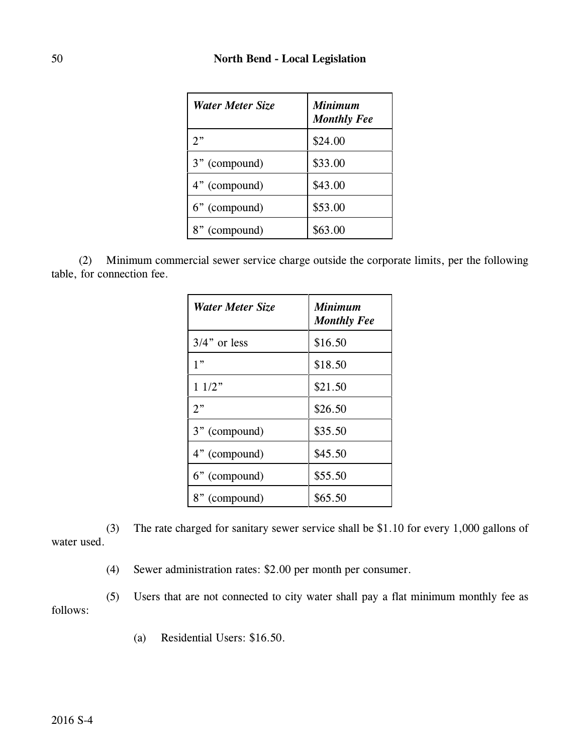| <b>Water Meter Size</b> | <b>Minimum</b><br><b>Monthly Fee</b> |
|-------------------------|--------------------------------------|
| 2"                      | \$24.00                              |
| 3" (compound)           | \$33.00                              |
| 4" (compound)           | \$43.00                              |
| 6" (compound)           | \$53.00                              |
| 8" (compound)           | \$63.00                              |

(2) Minimum commercial sewer service charge outside the corporate limits, per the following table, for connection fee.

| Water Meter Size | <b>Minimum</b><br><b>Monthly Fee</b> |
|------------------|--------------------------------------|
| $3/4$ " or less  | \$16.50                              |
| 1"               | \$18.50                              |
| 11/2"            | \$21.50                              |
| 2"               | \$26.50                              |
| 3" (compound)    | \$35.50                              |
| 4" (compound)    | \$45.50                              |
| 6" (compound)    | \$55.50                              |
| 8" (compound)    | \$65.50                              |

(3) The rate charged for sanitary sewer service shall be \$1.10 for every 1,000 gallons of water used.

(4) Sewer administration rates: \$2.00 per month per consumer.

(5) Users that are not connected to city water shall pay a flat minimum monthly fee as follows:

(a) Residential Users: \$16.50.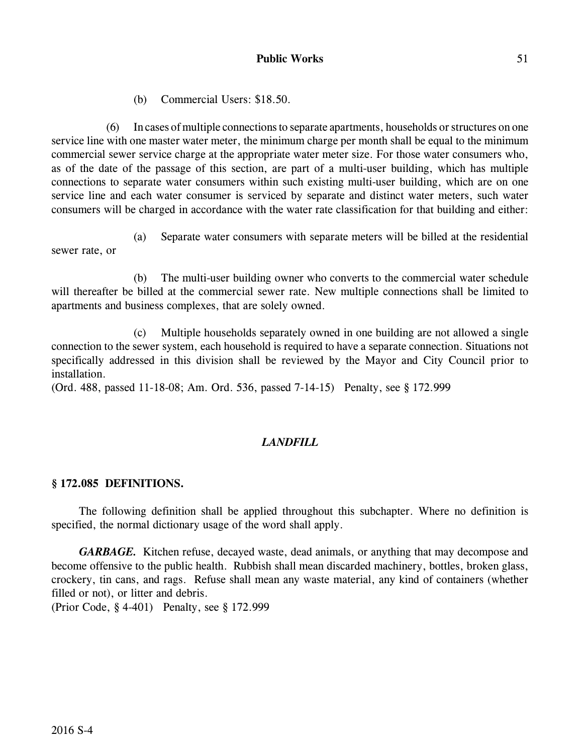(b) Commercial Users: \$18.50.

(6) In cases of multiple connections to separate apartments, households or structures on one service line with one master water meter, the minimum charge per month shall be equal to the minimum commercial sewer service charge at the appropriate water meter size. For those water consumers who, as of the date of the passage of this section, are part of a multi-user building, which has multiple connections to separate water consumers within such existing multi-user building, which are on one service line and each water consumer is serviced by separate and distinct water meters, such water consumers will be charged in accordance with the water rate classification for that building and either:

(a) Separate water consumers with separate meters will be billed at the residential sewer rate, or

(b) The multi-user building owner who converts to the commercial water schedule will thereafter be billed at the commercial sewer rate. New multiple connections shall be limited to apartments and business complexes, that are solely owned.

(c) Multiple households separately owned in one building are not allowed a single connection to the sewer system, each household is required to have a separate connection. Situations not specifically addressed in this division shall be reviewed by the Mayor and City Council prior to installation.

(Ord. 488, passed 11-18-08; Am. Ord. 536, passed 7-14-15) Penalty, see § 172.999

# *LANDFILL*

# **§ 172.085 DEFINITIONS.**

The following definition shall be applied throughout this subchapter. Where no definition is specified, the normal dictionary usage of the word shall apply.

*GARBAGE.* Kitchen refuse, decayed waste, dead animals, or anything that may decompose and become offensive to the public health. Rubbish shall mean discarded machinery, bottles, broken glass, crockery, tin cans, and rags. Refuse shall mean any waste material, any kind of containers (whether filled or not), or litter and debris.

(Prior Code, § 4-401) Penalty, see § 172.999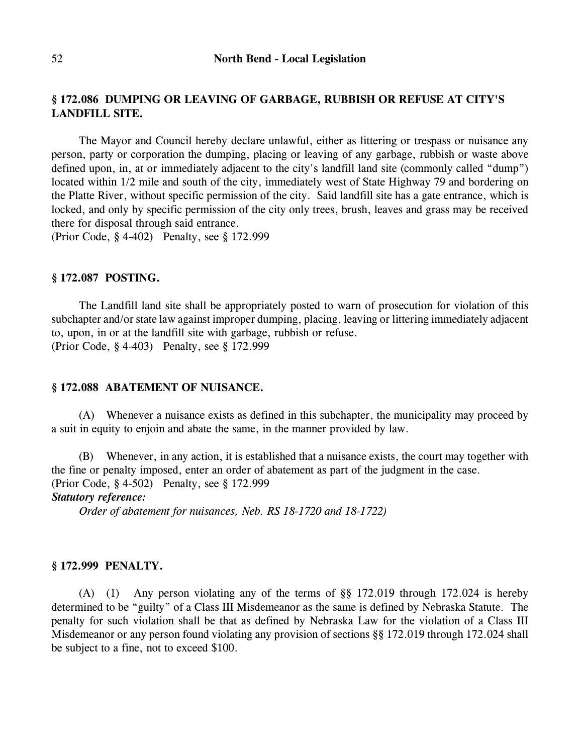# **§ 172.086 DUMPING OR LEAVING OF GARBAGE, RUBBISH OR REFUSE AT CITY'S LANDFILL SITE.**

The Mayor and Council hereby declare unlawful, either as littering or trespass or nuisance any person, party or corporation the dumping, placing or leaving of any garbage, rubbish or waste above defined upon, in, at or immediately adjacent to the city's landfill land site (commonly called "dump") located within 1/2 mile and south of the city, immediately west of State Highway 79 and bordering on the Platte River, without specific permission of the city. Said landfill site has a gate entrance, which is locked, and only by specific permission of the city only trees, brush, leaves and grass may be received there for disposal through said entrance.

(Prior Code, § 4-402) Penalty, see § 172.999

#### **§ 172.087 POSTING.**

The Landfill land site shall be appropriately posted to warn of prosecution for violation of this subchapter and/or state law against improper dumping, placing, leaving or littering immediately adjacent to, upon, in or at the landfill site with garbage, rubbish or refuse. (Prior Code, § 4-403) Penalty, see § 172.999

# **§ 172.088 ABATEMENT OF NUISANCE.**

(A) Whenever a nuisance exists as defined in this subchapter, the municipality may proceed by a suit in equity to enjoin and abate the same, in the manner provided by law.

(B) Whenever, in any action, it is established that a nuisance exists, the court may together with the fine or penalty imposed, enter an order of abatement as part of the judgment in the case. (Prior Code, § 4-502) Penalty, see § 172.999 *Statutory reference:*

*Order of abatement for nuisances, Neb. RS 18-1720 and 18-1722)*

#### **§ 172.999 PENALTY.**

(A) (1) Any person violating any of the terms of §§ 172.019 through 172.024 is hereby determined to be "guilty" of a Class III Misdemeanor as the same is defined by Nebraska Statute. The penalty for such violation shall be that as defined by Nebraska Law for the violation of a Class III Misdemeanor or any person found violating any provision of sections §§ 172.019 through 172.024 shall be subject to a fine, not to exceed \$100.